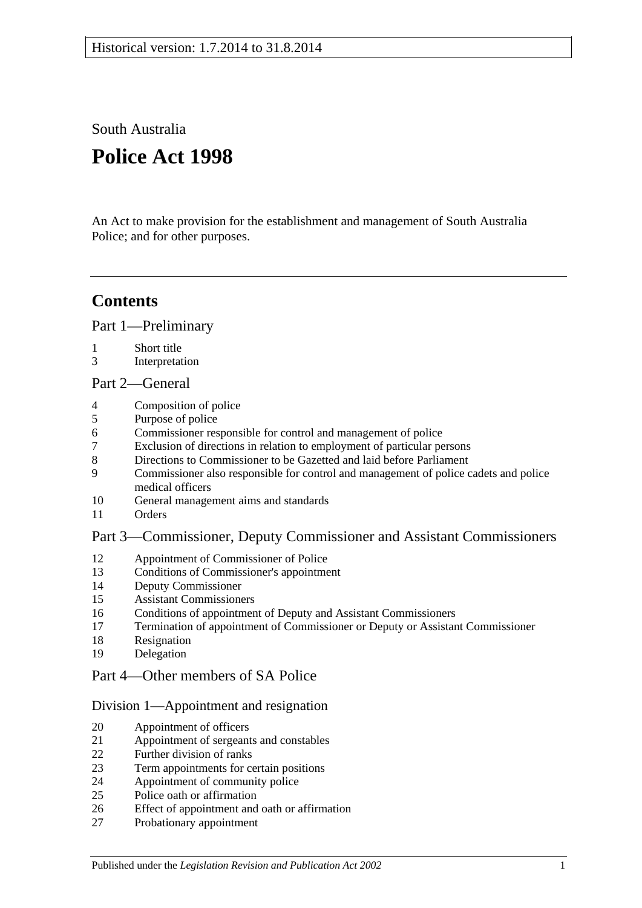South Australia

# **Police Act 1998**

An Act to make provision for the establishment and management of South Australia Police; and for other purposes.

# **Contents**

[Part 1—Preliminary](#page-2-0)

- [Short title](#page-2-1)
- [Interpretation](#page-2-2)

# [Part 2—General](#page-3-0)

- [Composition of police](#page-3-1)
- [Purpose of police](#page-4-0)
- [Commissioner responsible for control and management of police](#page-4-1)
- [Exclusion of directions in relation to employment of particular persons](#page-4-2)
- [Directions to Commissioner to be Gazetted and laid before Parliament](#page-4-3)
- [Commissioner also responsible for control and management of police cadets and police](#page-4-4)  [medical officers](#page-4-4)
- [General management aims and standards](#page-4-5)
- [Orders](#page-5-0)

# [Part 3—Commissioner, Deputy Commissioner and Assistant Commissioners](#page-5-1)

- [Appointment of Commissioner of Police](#page-5-2)<br>13 Conditions of Commissioner's appointme
- [Conditions of Commissioner's appointment](#page-6-0)
- [Deputy Commissioner](#page-6-1)
- [Assistant Commissioners](#page-6-2)
- [Conditions of appointment of Deputy and Assistant Commissioners](#page-7-0)
- [Termination of appointment of Commissioner or Deputy or Assistant Commissioner](#page-7-1)
- [Resignation](#page-8-0)
- [Delegation](#page-8-1)

# [Part 4—Other members of SA Police](#page-9-0)

# [Division 1—Appointment and resignation](#page-9-1)

- [Appointment of officers](#page-9-2)
- [Appointment of sergeants and constables](#page-9-3)
- [Further division of ranks](#page-9-4)
- [Term appointments for certain positions](#page-9-5)
- [Appointment of community police](#page-9-6)
- [Police oath or affirmation](#page-10-0)
- [Effect of appointment and oath or affirmation](#page-10-1)
- [Probationary appointment](#page-10-2)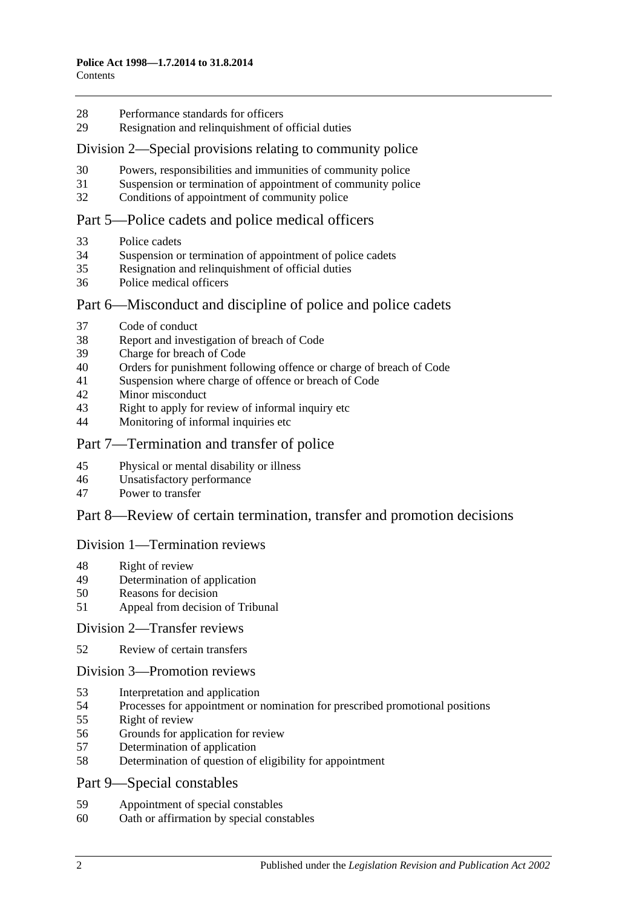- [Performance standards for officers](#page-11-0)
- Resignation [and relinquishment of official duties](#page-11-1)

#### [Division 2—Special provisions relating to community police](#page-11-2)

- [Powers, responsibilities and immunities of community police](#page-11-3)
- [Suspension or termination of appointment of community police](#page-11-4)
- [Conditions of appointment of community police](#page-12-0)

### [Part 5—Police cadets and police medical officers](#page-12-1)

- [Police cadets](#page-12-2)
- [Suspension or termination of appointment of police cadets](#page-12-3)
- [Resignation and relinquishment of official duties](#page-12-4)
- [Police medical officers](#page-12-5)

### Part [6—Misconduct and discipline of police and police cadets](#page-12-6)

- [Code of conduct](#page-12-7)
- [Report and investigation of breach of Code](#page-13-0)
- [Charge for breach of Code](#page-13-1)
- [Orders for punishment following offence or charge of breach of Code](#page-13-2)
- [Suspension where charge of offence or breach of Code](#page-14-0)
- [Minor misconduct](#page-15-0)
- [Right to apply for review of informal inquiry etc](#page-16-0)
- [Monitoring of informal inquiries etc](#page-17-0)

### [Part 7—Termination and transfer of police](#page-17-1)

- [Physical or mental disability or illness](#page-17-2)
- [Unsatisfactory performance](#page-17-3)
- [Power to transfer](#page-18-0)

#### [Part 8—Review of certain termination, transfer and promotion decisions](#page-18-1)

#### [Division 1—Termination reviews](#page-18-2)

- [Right of review](#page-18-3)
- [Determination of application](#page-19-0)
- [Reasons for decision](#page-19-1)
- [Appeal from decision of Tribunal](#page-19-2)

#### [Division 2—Transfer reviews](#page-19-3)

[Review of certain transfers](#page-19-4)

#### [Division 3—Promotion reviews](#page-20-0)

- [Interpretation and application](#page-20-1)
- [Processes for appointment or nomination for prescribed promotional positions](#page-20-2)
- [Right of review](#page-20-3)
- [Grounds for application for review](#page-20-4)
- [Determination of application](#page-21-0)
- [Determination of question of eligibility for appointment](#page-21-1)
- [Part 9—Special constables](#page-21-2)
- [Appointment of special constables](#page-21-3)
- [Oath or affirmation by special constables](#page-21-4)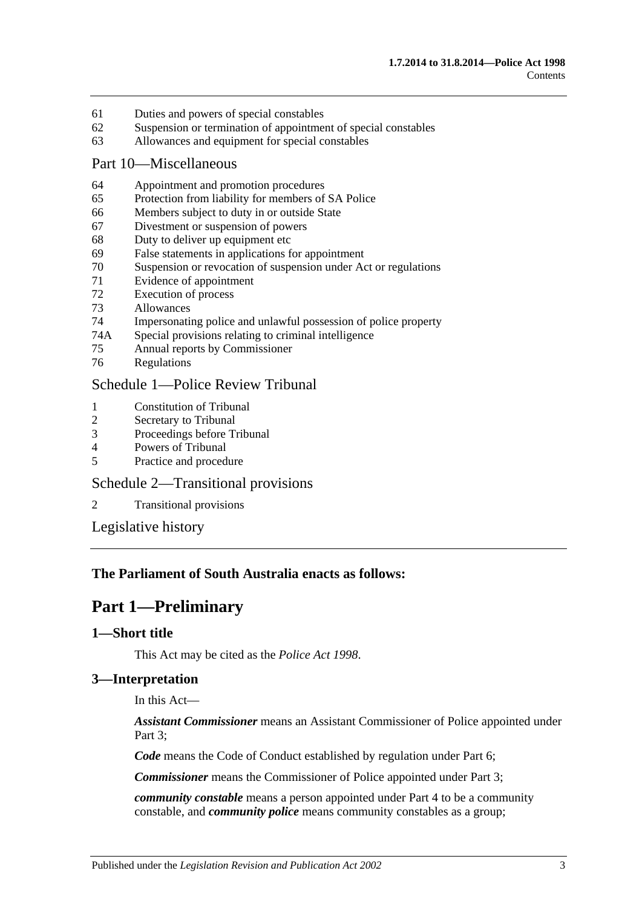- 61 [Duties and powers of special constables](#page-21-5)
- 62 [Suspension or termination of appointment of special constables](#page-22-0)
- 63 [Allowances and equipment for special constables](#page-22-1)

#### [Part 10—Miscellaneous](#page-22-2)

- 64 [Appointment and promotion procedures](#page-22-3)
- 65 [Protection from liability for members of SA](#page-22-4) Police
- 66 [Members subject to duty in or outside State](#page-23-0)
- 67 [Divestment or suspension of powers](#page-23-1)
- 68 [Duty to deliver up equipment etc](#page-23-2)
- 69 [False statements in applications for appointment](#page-24-0)
- 70 [Suspension or revocation of suspension under Act or regulations](#page-24-1)
- 71 [Evidence of appointment](#page-24-2)
- 72 [Execution of process](#page-25-0)
- 73 [Allowances](#page-25-1)
- 74 [Impersonating police and unlawful possession of police property](#page-25-2)
- 74A [Special provisions relating to criminal intelligence](#page-26-0)
- 75 [Annual reports by Commissioner](#page-27-0)
- 76 [Regulations](#page-27-1)

# [Schedule 1—Police Review Tribunal](#page-27-2)

- 1 [Constitution of Tribunal](#page-27-3)<br>2 Secretary to Tribunal
- [Secretary to Tribunal](#page-28-0)
- 3 [Proceedings before Tribunal](#page-28-1)
- 4 [Powers of Tribunal](#page-28-2)
- 5 [Practice and procedure](#page-29-0)

# [Schedule 2—Transitional provisions](#page-29-1)

2 [Transitional provisions](#page-29-2)

[Legislative history](#page-31-0)

#### <span id="page-2-0"></span>**The Parliament of South Australia enacts as follows:**

# **Part 1—Preliminary**

#### <span id="page-2-1"></span>**1—Short title**

This Act may be cited as the *Police Act 1998*.

# <span id="page-2-2"></span>**3—Interpretation**

In this Act—

*Assistant Commissioner* means an Assistant Commissioner of Police appointed under Part 3:

*Code* means the Code of Conduct established by regulation under [Part 6;](#page-12-6)

*Commissioner* means the Commissioner of Police appointed under [Part 3;](#page-5-1)

*community constable* means a person appointed under [Part 4](#page-9-0) to be a community constable, and *community police* means community constables as a group;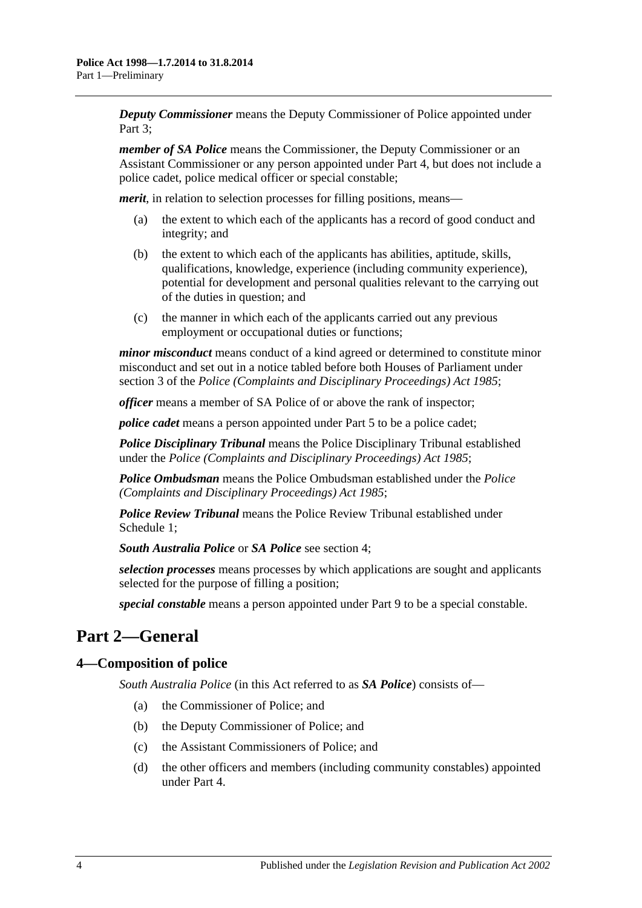*Deputy Commissioner* means the Deputy Commissioner of Police appointed under Part 3:

*member of SA Police* means the Commissioner, the Deputy Commissioner or an Assistant Commissioner or any person appointed under [Part 4,](#page-9-0) but does not include a police cadet, police medical officer or special constable;

*merit*, in relation to selection processes for filling positions, means—

- (a) the extent to which each of the applicants has a record of good conduct and integrity; and
- (b) the extent to which each of the applicants has abilities, aptitude, skills, qualifications, knowledge, experience (including community experience), potential for development and personal qualities relevant to the carrying out of the duties in question; and
- (c) the manner in which each of the applicants carried out any previous employment or occupational duties or functions;

*minor misconduct* means conduct of a kind agreed or determined to constitute minor misconduct and set out in a notice tabled before both Houses of Parliament under section 3 of the *[Police \(Complaints and Disciplinary Proceedings\) Act](http://www.legislation.sa.gov.au/index.aspx?action=legref&type=act&legtitle=Police%20(Complaints%20and%20Disciplinary%20Proceedings)%20Act%201985) 1985*;

*officer* means a member of SA Police of or above the rank of inspector;

*police cadet* means a person appointed under [Part 5](#page-12-1) to be a police cadet;

*Police Disciplinary Tribunal* means the Police Disciplinary Tribunal established under the *[Police \(Complaints and Disciplinary Proceedings\) Act](http://www.legislation.sa.gov.au/index.aspx?action=legref&type=act&legtitle=Police%20(Complaints%20and%20Disciplinary%20Proceedings)%20Act%201985) 1985*;

*Police Ombudsman* means the Police Ombudsman established under the *[Police](http://www.legislation.sa.gov.au/index.aspx?action=legref&type=act&legtitle=Police%20(Complaints%20and%20Disciplinary%20Proceedings)%20Act%201985)  [\(Complaints and Disciplinary Proceedings\) Act](http://www.legislation.sa.gov.au/index.aspx?action=legref&type=act&legtitle=Police%20(Complaints%20and%20Disciplinary%20Proceedings)%20Act%201985) 1985*;

*Police Review Tribunal* means the Police Review Tribunal established under [Schedule](#page-27-2) 1;

*South Australia Police* or *SA Police* see [section](#page-3-1) 4;

*selection processes* means processes by which applications are sought and applicants selected for the purpose of filling a position;

*special constable* means a person appointed under [Part 9](#page-21-2) to be a special constable.

# <span id="page-3-0"></span>**Part 2—General**

# <span id="page-3-1"></span>**4—Composition of police**

*South Australia Police* (in this Act referred to as *SA Police*) consists of—

- (a) the Commissioner of Police; and
- (b) the Deputy Commissioner of Police; and
- (c) the Assistant Commissioners of Police; and
- (d) the other officers and members (including community constables) appointed under [Part 4.](#page-9-0)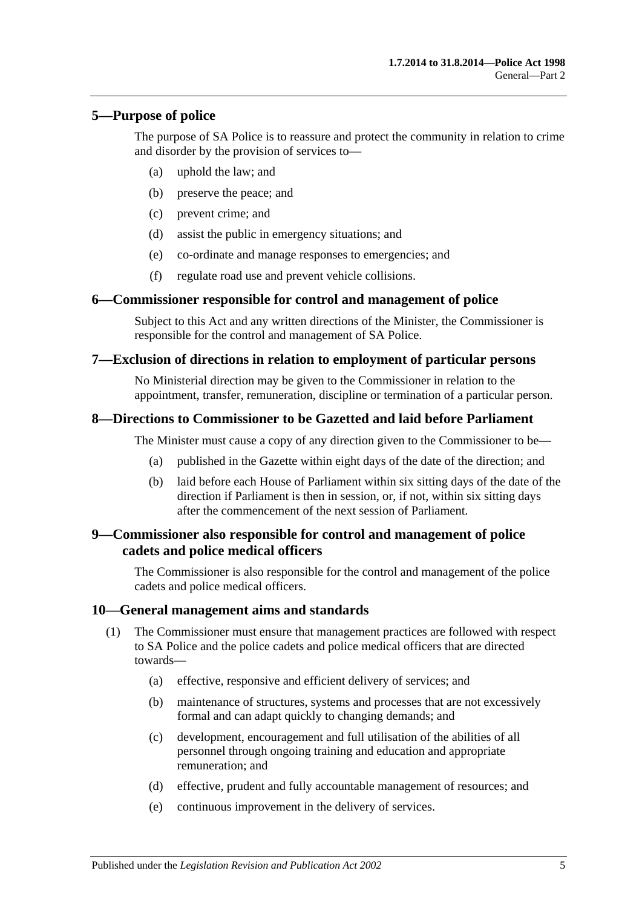### <span id="page-4-0"></span>**5—Purpose of police**

The purpose of SA Police is to reassure and protect the community in relation to crime and disorder by the provision of services to—

- (a) uphold the law; and
- (b) preserve the peace; and
- (c) prevent crime; and
- (d) assist the public in emergency situations; and
- (e) co-ordinate and manage responses to emergencies; and
- (f) regulate road use and prevent vehicle collisions.

#### <span id="page-4-1"></span>**6—Commissioner responsible for control and management of police**

Subject to this Act and any written directions of the Minister, the Commissioner is responsible for the control and management of SA Police.

#### <span id="page-4-2"></span>**7—Exclusion of directions in relation to employment of particular persons**

No Ministerial direction may be given to the Commissioner in relation to the appointment, transfer, remuneration, discipline or termination of a particular person.

### <span id="page-4-3"></span>**8—Directions to Commissioner to be Gazetted and laid before Parliament**

The Minister must cause a copy of any direction given to the Commissioner to be—

- (a) published in the Gazette within eight days of the date of the direction; and
- (b) laid before each House of Parliament within six sitting days of the date of the direction if Parliament is then in session, or, if not, within six sitting days after the commencement of the next session of Parliament.

### <span id="page-4-4"></span>**9—Commissioner also responsible for control and management of police cadets and police medical officers**

The Commissioner is also responsible for the control and management of the police cadets and police medical officers.

#### <span id="page-4-5"></span>**10—General management aims and standards**

- (1) The Commissioner must ensure that management practices are followed with respect to SA Police and the police cadets and police medical officers that are directed towards—
	- (a) effective, responsive and efficient delivery of services; and
	- (b) maintenance of structures, systems and processes that are not excessively formal and can adapt quickly to changing demands; and
	- (c) development, encouragement and full utilisation of the abilities of all personnel through ongoing training and education and appropriate remuneration; and
	- (d) effective, prudent and fully accountable management of resources; and
	- (e) continuous improvement in the delivery of services.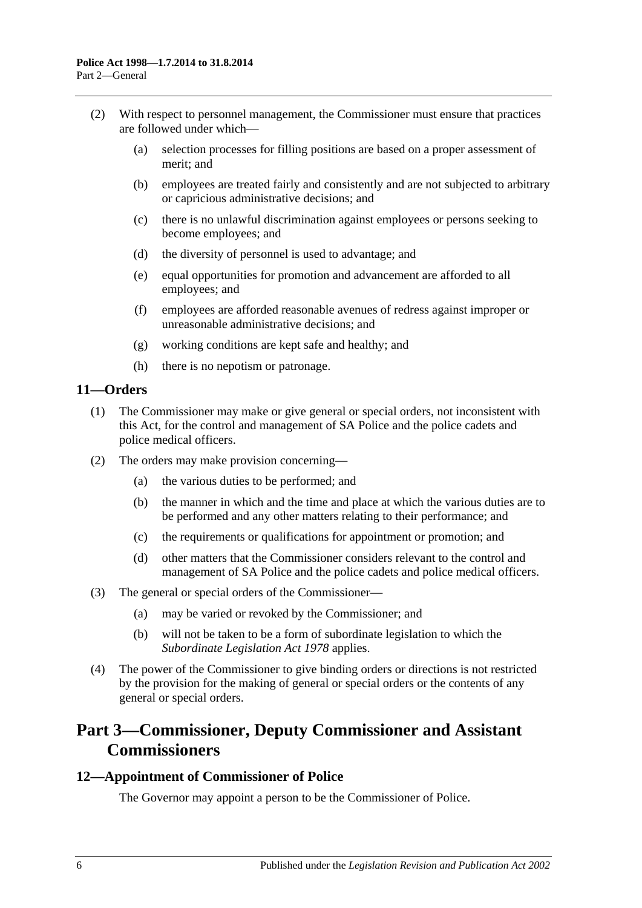- (2) With respect to personnel management, the Commissioner must ensure that practices are followed under which—
	- (a) selection processes for filling positions are based on a proper assessment of merit; and
	- (b) employees are treated fairly and consistently and are not subjected to arbitrary or capricious administrative decisions; and
	- (c) there is no unlawful discrimination against employees or persons seeking to become employees; and
	- (d) the diversity of personnel is used to advantage; and
	- (e) equal opportunities for promotion and advancement are afforded to all employees; and
	- (f) employees are afforded reasonable avenues of redress against improper or unreasonable administrative decisions; and
	- (g) working conditions are kept safe and healthy; and
	- (h) there is no nepotism or patronage.

# <span id="page-5-0"></span>**11—Orders**

- (1) The Commissioner may make or give general or special orders, not inconsistent with this Act, for the control and management of SA Police and the police cadets and police medical officers.
- (2) The orders may make provision concerning—
	- (a) the various duties to be performed; and
	- (b) the manner in which and the time and place at which the various duties are to be performed and any other matters relating to their performance; and
	- (c) the requirements or qualifications for appointment or promotion; and
	- (d) other matters that the Commissioner considers relevant to the control and management of SA Police and the police cadets and police medical officers.
- (3) The general or special orders of the Commissioner—
	- (a) may be varied or revoked by the Commissioner; and
	- (b) will not be taken to be a form of subordinate legislation to which the *[Subordinate Legislation Act](http://www.legislation.sa.gov.au/index.aspx?action=legref&type=act&legtitle=Subordinate%20Legislation%20Act%201978) 1978* applies.
- (4) The power of the Commissioner to give binding orders or directions is not restricted by the provision for the making of general or special orders or the contents of any general or special orders.

# <span id="page-5-1"></span>**Part 3—Commissioner, Deputy Commissioner and Assistant Commissioners**

#### <span id="page-5-2"></span>**12—Appointment of Commissioner of Police**

The Governor may appoint a person to be the Commissioner of Police.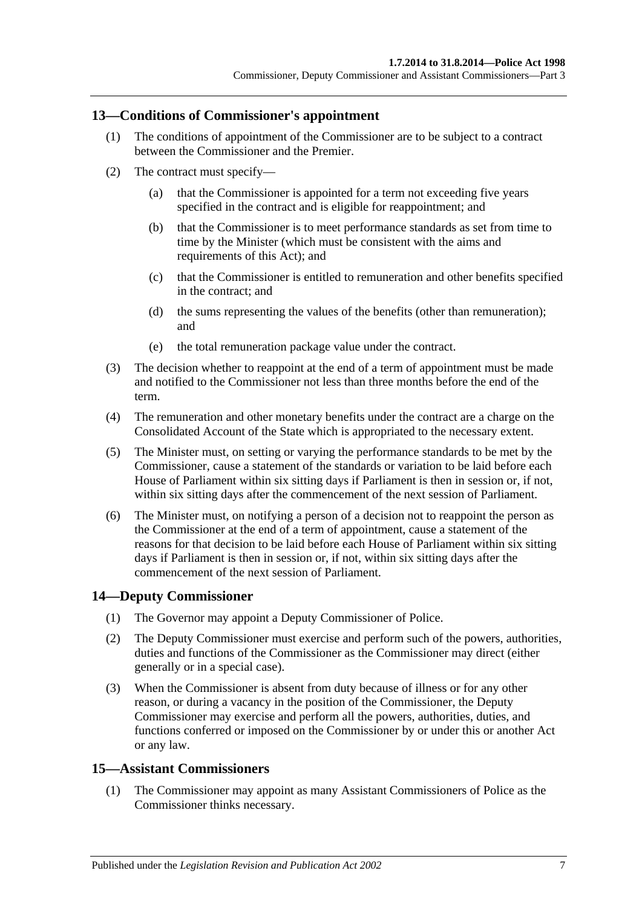### <span id="page-6-0"></span>**13—Conditions of Commissioner's appointment**

- (1) The conditions of appointment of the Commissioner are to be subject to a contract between the Commissioner and the Premier.
- (2) The contract must specify—
	- (a) that the Commissioner is appointed for a term not exceeding five years specified in the contract and is eligible for reappointment; and
	- (b) that the Commissioner is to meet performance standards as set from time to time by the Minister (which must be consistent with the aims and requirements of this Act); and
	- (c) that the Commissioner is entitled to remuneration and other benefits specified in the contract; and
	- (d) the sums representing the values of the benefits (other than remuneration); and
	- (e) the total remuneration package value under the contract.
- (3) The decision whether to reappoint at the end of a term of appointment must be made and notified to the Commissioner not less than three months before the end of the term.
- (4) The remuneration and other monetary benefits under the contract are a charge on the Consolidated Account of the State which is appropriated to the necessary extent.
- (5) The Minister must, on setting or varying the performance standards to be met by the Commissioner, cause a statement of the standards or variation to be laid before each House of Parliament within six sitting days if Parliament is then in session or, if not, within six sitting days after the commencement of the next session of Parliament.
- (6) The Minister must, on notifying a person of a decision not to reappoint the person as the Commissioner at the end of a term of appointment, cause a statement of the reasons for that decision to be laid before each House of Parliament within six sitting days if Parliament is then in session or, if not, within six sitting days after the commencement of the next session of Parliament.

# <span id="page-6-1"></span>**14—Deputy Commissioner**

- (1) The Governor may appoint a Deputy Commissioner of Police.
- (2) The Deputy Commissioner must exercise and perform such of the powers, authorities, duties and functions of the Commissioner as the Commissioner may direct (either generally or in a special case).
- (3) When the Commissioner is absent from duty because of illness or for any other reason, or during a vacancy in the position of the Commissioner, the Deputy Commissioner may exercise and perform all the powers, authorities, duties, and functions conferred or imposed on the Commissioner by or under this or another Act or any law.

#### <span id="page-6-2"></span>**15—Assistant Commissioners**

(1) The Commissioner may appoint as many Assistant Commissioners of Police as the Commissioner thinks necessary.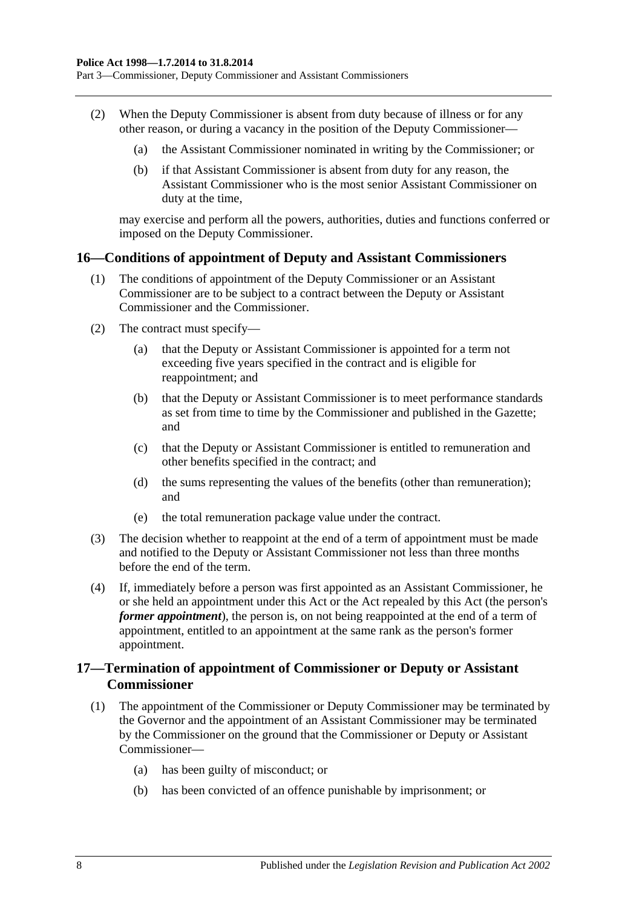Part 3—Commissioner, Deputy Commissioner and Assistant Commissioners

- (2) When the Deputy Commissioner is absent from duty because of illness or for any other reason, or during a vacancy in the position of the Deputy Commissioner—
	- (a) the Assistant Commissioner nominated in writing by the Commissioner; or
	- (b) if that Assistant Commissioner is absent from duty for any reason, the Assistant Commissioner who is the most senior Assistant Commissioner on duty at the time,

may exercise and perform all the powers, authorities, duties and functions conferred or imposed on the Deputy Commissioner.

### <span id="page-7-0"></span>**16—Conditions of appointment of Deputy and Assistant Commissioners**

- (1) The conditions of appointment of the Deputy Commissioner or an Assistant Commissioner are to be subject to a contract between the Deputy or Assistant Commissioner and the Commissioner.
- (2) The contract must specify—
	- (a) that the Deputy or Assistant Commissioner is appointed for a term not exceeding five years specified in the contract and is eligible for reappointment; and
	- (b) that the Deputy or Assistant Commissioner is to meet performance standards as set from time to time by the Commissioner and published in the Gazette; and
	- (c) that the Deputy or Assistant Commissioner is entitled to remuneration and other benefits specified in the contract; and
	- (d) the sums representing the values of the benefits (other than remuneration); and
	- (e) the total remuneration package value under the contract.
- (3) The decision whether to reappoint at the end of a term of appointment must be made and notified to the Deputy or Assistant Commissioner not less than three months before the end of the term.
- (4) If, immediately before a person was first appointed as an Assistant Commissioner, he or she held an appointment under this Act or the Act repealed by this Act (the person's *former appointment*), the person is, on not being reappointed at the end of a term of appointment, entitled to an appointment at the same rank as the person's former appointment.

# <span id="page-7-1"></span>**17—Termination of appointment of Commissioner or Deputy or Assistant Commissioner**

- (1) The appointment of the Commissioner or Deputy Commissioner may be terminated by the Governor and the appointment of an Assistant Commissioner may be terminated by the Commissioner on the ground that the Commissioner or Deputy or Assistant Commissioner—
	- (a) has been guilty of misconduct; or
	- (b) has been convicted of an offence punishable by imprisonment; or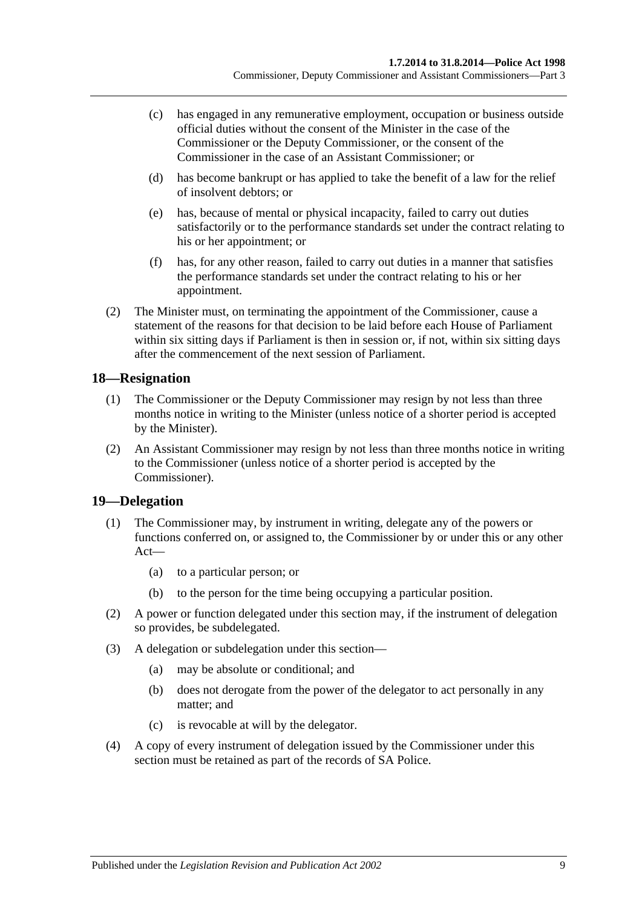- (c) has engaged in any remunerative employment, occupation or business outside official duties without the consent of the Minister in the case of the Commissioner or the Deputy Commissioner, or the consent of the Commissioner in the case of an Assistant Commissioner; or
- (d) has become bankrupt or has applied to take the benefit of a law for the relief of insolvent debtors; or
- (e) has, because of mental or physical incapacity, failed to carry out duties satisfactorily or to the performance standards set under the contract relating to his or her appointment; or
- (f) has, for any other reason, failed to carry out duties in a manner that satisfies the performance standards set under the contract relating to his or her appointment.
- (2) The Minister must, on terminating the appointment of the Commissioner, cause a statement of the reasons for that decision to be laid before each House of Parliament within six sitting days if Parliament is then in session or, if not, within six sitting days after the commencement of the next session of Parliament.

# <span id="page-8-0"></span>**18—Resignation**

- (1) The Commissioner or the Deputy Commissioner may resign by not less than three months notice in writing to the Minister (unless notice of a shorter period is accepted by the Minister).
- (2) An Assistant Commissioner may resign by not less than three months notice in writing to the Commissioner (unless notice of a shorter period is accepted by the Commissioner).

#### <span id="page-8-1"></span>**19—Delegation**

- (1) The Commissioner may, by instrument in writing, delegate any of the powers or functions conferred on, or assigned to, the Commissioner by or under this or any other Act—
	- (a) to a particular person; or
	- (b) to the person for the time being occupying a particular position.
- (2) A power or function delegated under this section may, if the instrument of delegation so provides, be subdelegated.
- (3) A delegation or subdelegation under this section—
	- (a) may be absolute or conditional; and
	- (b) does not derogate from the power of the delegator to act personally in any matter; and
	- (c) is revocable at will by the delegator.
- (4) A copy of every instrument of delegation issued by the Commissioner under this section must be retained as part of the records of SA Police.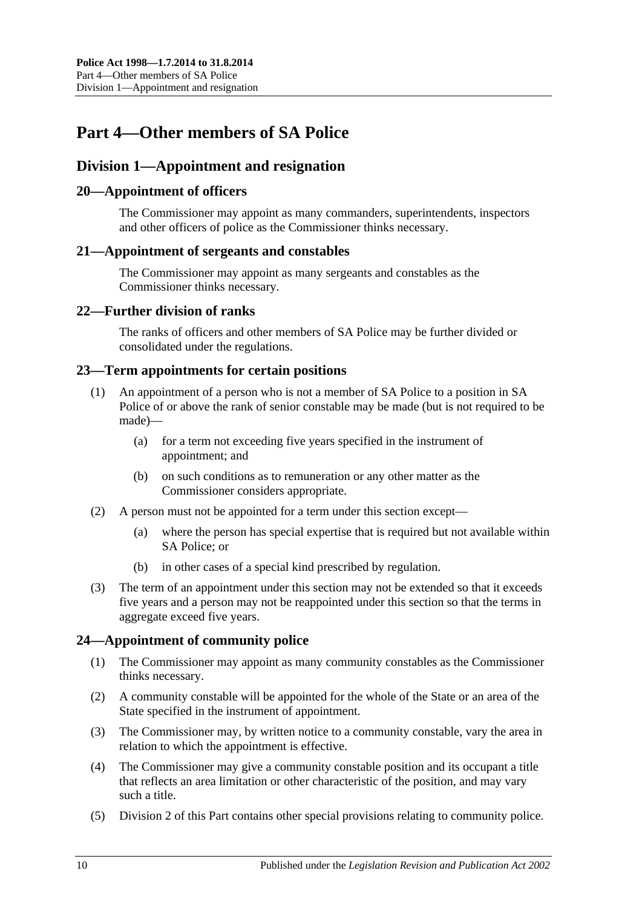# <span id="page-9-0"></span>**Part 4—Other members of SA Police**

# <span id="page-9-1"></span>**Division 1—Appointment and resignation**

# <span id="page-9-2"></span>**20—Appointment of officers**

The Commissioner may appoint as many commanders, superintendents, inspectors and other officers of police as the Commissioner thinks necessary.

### <span id="page-9-3"></span>**21—Appointment of sergeants and constables**

The Commissioner may appoint as many sergeants and constables as the Commissioner thinks necessary.

# <span id="page-9-4"></span>**22—Further division of ranks**

The ranks of officers and other members of SA Police may be further divided or consolidated under the regulations.

### <span id="page-9-5"></span>**23—Term appointments for certain positions**

- (1) An appointment of a person who is not a member of SA Police to a position in SA Police of or above the rank of senior constable may be made (but is not required to be made)—
	- (a) for a term not exceeding five years specified in the instrument of appointment; and
	- (b) on such conditions as to remuneration or any other matter as the Commissioner considers appropriate.
- (2) A person must not be appointed for a term under this section except—
	- (a) where the person has special expertise that is required but not available within SA Police; or
	- (b) in other cases of a special kind prescribed by regulation.
- (3) The term of an appointment under this section may not be extended so that it exceeds five years and a person may not be reappointed under this section so that the terms in aggregate exceed five years.

# <span id="page-9-6"></span>**24—Appointment of community police**

- (1) The Commissioner may appoint as many community constables as the Commissioner thinks necessary.
- (2) A community constable will be appointed for the whole of the State or an area of the State specified in the instrument of appointment.
- (3) The Commissioner may, by written notice to a community constable, vary the area in relation to which the appointment is effective.
- (4) The Commissioner may give a community constable position and its occupant a title that reflects an area limitation or other characteristic of the position, and may vary such a title.
- (5) [Division 2](#page-11-2) of this Part contains other special provisions relating to community police.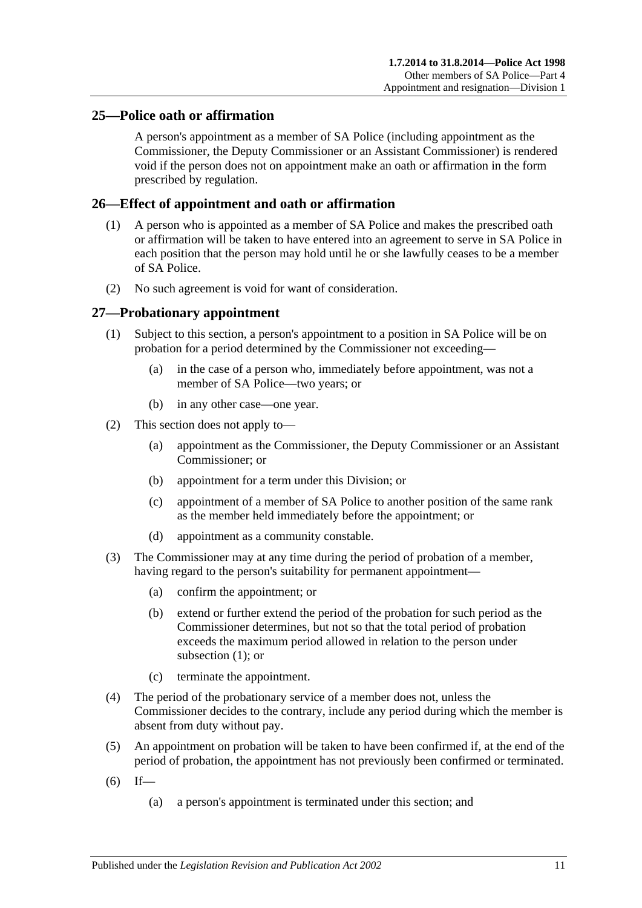# <span id="page-10-0"></span>**25—Police oath or affirmation**

A person's appointment as a member of SA Police (including appointment as the Commissioner, the Deputy Commissioner or an Assistant Commissioner) is rendered void if the person does not on appointment make an oath or affirmation in the form prescribed by regulation.

# <span id="page-10-1"></span>**26—Effect of appointment and oath or affirmation**

- (1) A person who is appointed as a member of SA Police and makes the prescribed oath or affirmation will be taken to have entered into an agreement to serve in SA Police in each position that the person may hold until he or she lawfully ceases to be a member of SA Police.
- (2) No such agreement is void for want of consideration.

### <span id="page-10-3"></span><span id="page-10-2"></span>**27—Probationary appointment**

- (1) Subject to this section, a person's appointment to a position in SA Police will be on probation for a period determined by the Commissioner not exceeding—
	- (a) in the case of a person who, immediately before appointment, was not a member of SA Police—two years; or
	- (b) in any other case—one year.
- (2) This section does not apply to—
	- (a) appointment as the Commissioner, the Deputy Commissioner or an Assistant Commissioner; or
	- (b) appointment for a term under this Division; or
	- (c) appointment of a member of SA Police to another position of the same rank as the member held immediately before the appointment; or
	- (d) appointment as a community constable.
- (3) The Commissioner may at any time during the period of probation of a member, having regard to the person's suitability for permanent appointment—
	- (a) confirm the appointment; or
	- (b) extend or further extend the period of the probation for such period as the Commissioner determines, but not so that the total period of probation exceeds the maximum period allowed in relation to the person under [subsection](#page-10-3) (1); or
	- (c) terminate the appointment.
- (4) The period of the probationary service of a member does not, unless the Commissioner decides to the contrary, include any period during which the member is absent from duty without pay.
- (5) An appointment on probation will be taken to have been confirmed if, at the end of the period of probation, the appointment has not previously been confirmed or terminated.
- $(6)$  If—
	- (a) a person's appointment is terminated under this section; and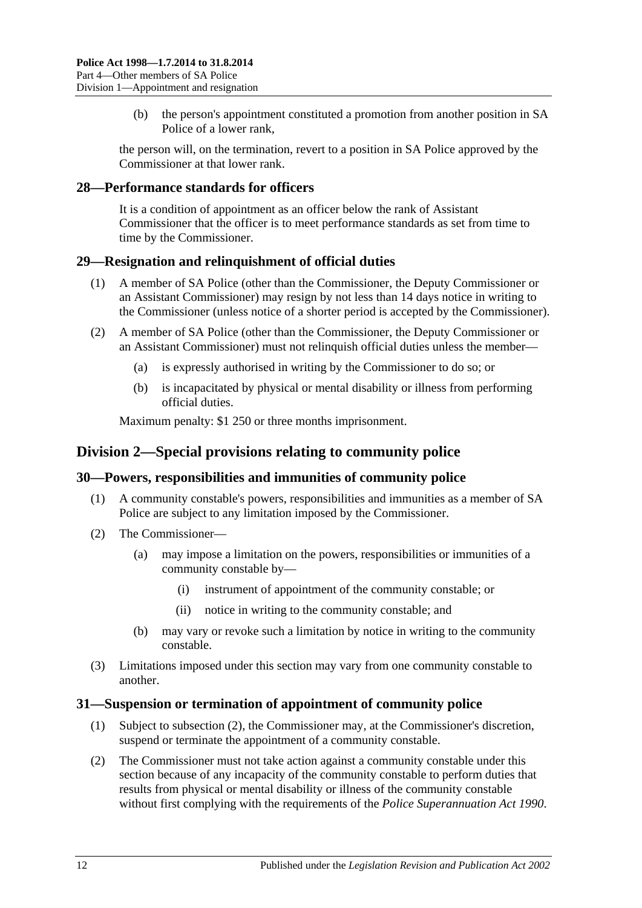(b) the person's appointment constituted a promotion from another position in SA Police of a lower rank,

the person will, on the termination, revert to a position in SA Police approved by the Commissioner at that lower rank.

### <span id="page-11-0"></span>**28—Performance standards for officers**

It is a condition of appointment as an officer below the rank of Assistant Commissioner that the officer is to meet performance standards as set from time to time by the Commissioner.

### <span id="page-11-1"></span>**29—Resignation and relinquishment of official duties**

- (1) A member of SA Police (other than the Commissioner, the Deputy Commissioner or an Assistant Commissioner) may resign by not less than 14 days notice in writing to the Commissioner (unless notice of a shorter period is accepted by the Commissioner).
- (2) A member of SA Police (other than the Commissioner, the Deputy Commissioner or an Assistant Commissioner) must not relinquish official duties unless the member—
	- (a) is expressly authorised in writing by the Commissioner to do so; or
	- (b) is incapacitated by physical or mental disability or illness from performing official duties.

Maximum penalty: \$1 250 or three months imprisonment.

# <span id="page-11-2"></span>**Division 2—Special provisions relating to community police**

# <span id="page-11-3"></span>**30—Powers, responsibilities and immunities of community police**

- (1) A community constable's powers, responsibilities and immunities as a member of SA Police are subject to any limitation imposed by the Commissioner.
- (2) The Commissioner—
	- (a) may impose a limitation on the powers, responsibilities or immunities of a community constable by—
		- (i) instrument of appointment of the community constable; or
		- (ii) notice in writing to the community constable; and
	- (b) may vary or revoke such a limitation by notice in writing to the community constable.
- (3) Limitations imposed under this section may vary from one community constable to another.

#### <span id="page-11-4"></span>**31—Suspension or termination of appointment of community police**

- (1) Subject to [subsection](#page-11-5) (2), the Commissioner may, at the Commissioner's discretion, suspend or terminate the appointment of a community constable.
- <span id="page-11-5"></span>(2) The Commissioner must not take action against a community constable under this section because of any incapacity of the community constable to perform duties that results from physical or mental disability or illness of the community constable without first complying with the requirements of the *[Police Superannuation Act](http://www.legislation.sa.gov.au/index.aspx?action=legref&type=act&legtitle=Police%20Superannuation%20Act%201990) 1990*.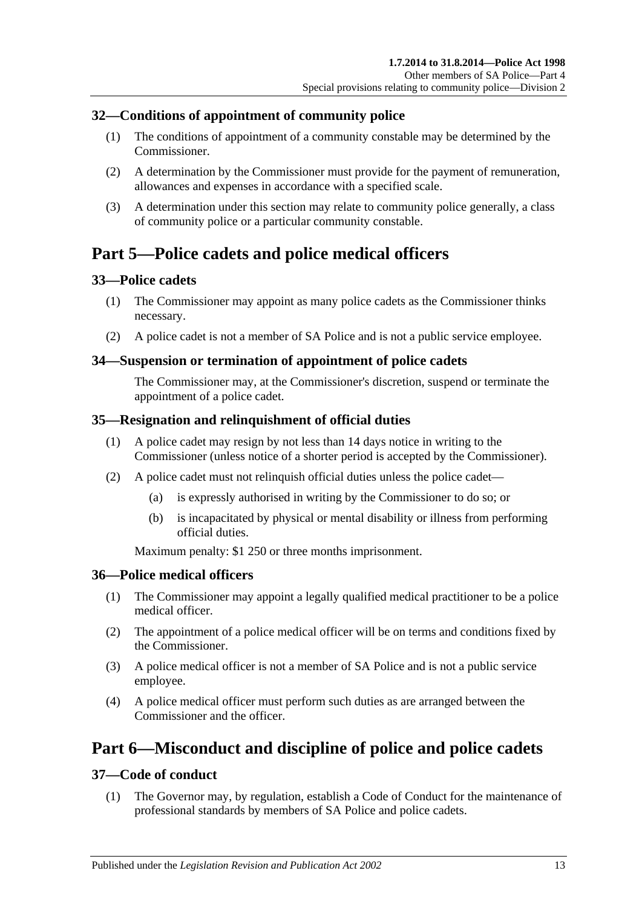# <span id="page-12-0"></span>**32—Conditions of appointment of community police**

- (1) The conditions of appointment of a community constable may be determined by the Commissioner.
- (2) A determination by the Commissioner must provide for the payment of remuneration, allowances and expenses in accordance with a specified scale.
- (3) A determination under this section may relate to community police generally, a class of community police or a particular community constable.

# <span id="page-12-1"></span>**Part 5—Police cadets and police medical officers**

# <span id="page-12-2"></span>**33—Police cadets**

- (1) The Commissioner may appoint as many police cadets as the Commissioner thinks necessary.
- (2) A police cadet is not a member of SA Police and is not a public service employee.

#### <span id="page-12-3"></span>**34—Suspension or termination of appointment of police cadets**

The Commissioner may, at the Commissioner's discretion, suspend or terminate the appointment of a police cadet.

### <span id="page-12-4"></span>**35—Resignation and relinquishment of official duties**

- (1) A police cadet may resign by not less than 14 days notice in writing to the Commissioner (unless notice of a shorter period is accepted by the Commissioner).
- (2) A police cadet must not relinquish official duties unless the police cadet—
	- (a) is expressly authorised in writing by the Commissioner to do so; or
	- (b) is incapacitated by physical or mental disability or illness from performing official duties.

Maximum penalty: \$1 250 or three months imprisonment.

#### <span id="page-12-5"></span>**36—Police medical officers**

- (1) The Commissioner may appoint a legally qualified medical practitioner to be a police medical officer.
- (2) The appointment of a police medical officer will be on terms and conditions fixed by the Commissioner.
- (3) A police medical officer is not a member of SA Police and is not a public service employee.
- (4) A police medical officer must perform such duties as are arranged between the Commissioner and the officer.

# <span id="page-12-6"></span>**Part 6—Misconduct and discipline of police and police cadets**

#### <span id="page-12-7"></span>**37—Code of conduct**

(1) The Governor may, by regulation, establish a Code of Conduct for the maintenance of professional standards by members of SA Police and police cadets.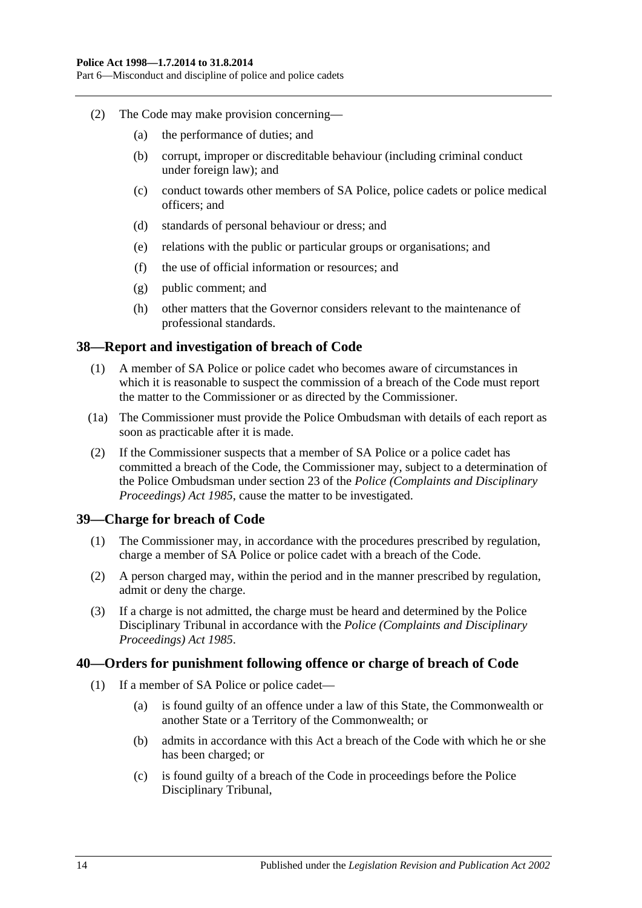Part 6—Misconduct and discipline of police and police cadets

- (2) The Code may make provision concerning—
	- (a) the performance of duties; and
	- (b) corrupt, improper or discreditable behaviour (including criminal conduct under foreign law); and
	- (c) conduct towards other members of SA Police, police cadets or police medical officers; and
	- (d) standards of personal behaviour or dress; and
	- (e) relations with the public or particular groups or organisations; and
	- (f) the use of official information or resources; and
	- (g) public comment; and
	- (h) other matters that the Governor considers relevant to the maintenance of professional standards.

#### <span id="page-13-0"></span>**38—Report and investigation of breach of Code**

- (1) A member of SA Police or police cadet who becomes aware of circumstances in which it is reasonable to suspect the commission of a breach of the Code must report the matter to the Commissioner or as directed by the Commissioner.
- (1a) The Commissioner must provide the Police Ombudsman with details of each report as soon as practicable after it is made.
- (2) If the Commissioner suspects that a member of SA Police or a police cadet has committed a breach of the Code, the Commissioner may, subject to a determination of the Police Ombudsman under section 23 of the *[Police \(Complaints and Disciplinary](http://www.legislation.sa.gov.au/index.aspx?action=legref&type=act&legtitle=Police%20(Complaints%20and%20Disciplinary%20Proceedings)%20Act%201985)  [Proceedings\) Act](http://www.legislation.sa.gov.au/index.aspx?action=legref&type=act&legtitle=Police%20(Complaints%20and%20Disciplinary%20Proceedings)%20Act%201985) 1985*, cause the matter to be investigated.

#### <span id="page-13-1"></span>**39—Charge for breach of Code**

- (1) The Commissioner may, in accordance with the procedures prescribed by regulation, charge a member of SA Police or police cadet with a breach of the Code.
- (2) A person charged may, within the period and in the manner prescribed by regulation, admit or deny the charge.
- (3) If a charge is not admitted, the charge must be heard and determined by the Police Disciplinary Tribunal in accordance with the *[Police \(Complaints and Disciplinary](http://www.legislation.sa.gov.au/index.aspx?action=legref&type=act&legtitle=Police%20(Complaints%20and%20Disciplinary%20Proceedings)%20Act%201985)  [Proceedings\) Act](http://www.legislation.sa.gov.au/index.aspx?action=legref&type=act&legtitle=Police%20(Complaints%20and%20Disciplinary%20Proceedings)%20Act%201985) 1985*.

#### <span id="page-13-2"></span>**40—Orders for punishment following offence or charge of breach of Code**

- (1) If a member of SA Police or police cadet—
	- (a) is found guilty of an offence under a law of this State, the Commonwealth or another State or a Territory of the Commonwealth; or
	- (b) admits in accordance with this Act a breach of the Code with which he or she has been charged; or
	- (c) is found guilty of a breach of the Code in proceedings before the Police Disciplinary Tribunal,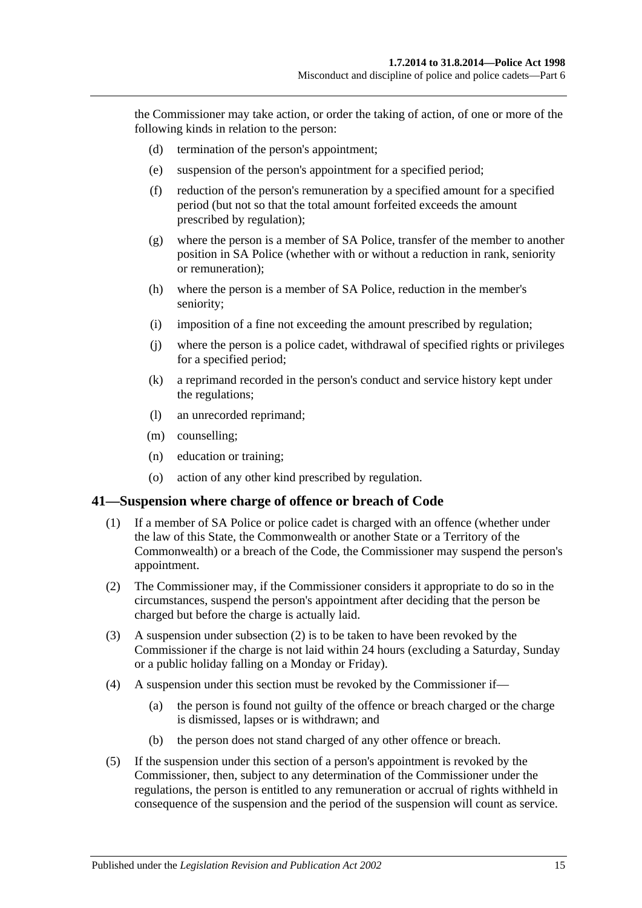the Commissioner may take action, or order the taking of action, of one or more of the following kinds in relation to the person:

- (d) termination of the person's appointment;
- (e) suspension of the person's appointment for a specified period;
- (f) reduction of the person's remuneration by a specified amount for a specified period (but not so that the total amount forfeited exceeds the amount prescribed by regulation);
- (g) where the person is a member of SA Police, transfer of the member to another position in SA Police (whether with or without a reduction in rank, seniority or remuneration);
- (h) where the person is a member of SA Police, reduction in the member's seniority;
- (i) imposition of a fine not exceeding the amount prescribed by regulation;
- (j) where the person is a police cadet, withdrawal of specified rights or privileges for a specified period;
- (k) a reprimand recorded in the person's conduct and service history kept under the regulations;
- (l) an unrecorded reprimand;
- (m) counselling;
- (n) education or training;
- (o) action of any other kind prescribed by regulation.

#### <span id="page-14-0"></span>**41—Suspension where charge of offence or breach of Code**

- (1) If a member of SA Police or police cadet is charged with an offence (whether under the law of this State, the Commonwealth or another State or a Territory of the Commonwealth) or a breach of the Code, the Commissioner may suspend the person's appointment.
- <span id="page-14-1"></span>(2) The Commissioner may, if the Commissioner considers it appropriate to do so in the circumstances, suspend the person's appointment after deciding that the person be charged but before the charge is actually laid.
- (3) A suspension under [subsection](#page-14-1) (2) is to be taken to have been revoked by the Commissioner if the charge is not laid within 24 hours (excluding a Saturday, Sunday or a public holiday falling on a Monday or Friday).
- (4) A suspension under this section must be revoked by the Commissioner if—
	- (a) the person is found not guilty of the offence or breach charged or the charge is dismissed, lapses or is withdrawn; and
	- (b) the person does not stand charged of any other offence or breach.
- (5) If the suspension under this section of a person's appointment is revoked by the Commissioner, then, subject to any determination of the Commissioner under the regulations, the person is entitled to any remuneration or accrual of rights withheld in consequence of the suspension and the period of the suspension will count as service.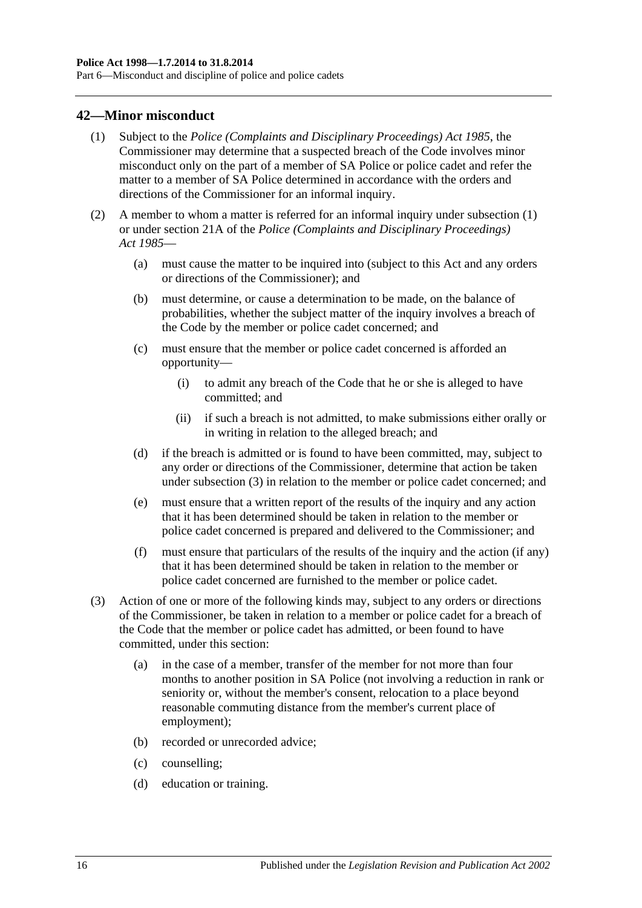Part 6—Misconduct and discipline of police and police cadets

### <span id="page-15-1"></span><span id="page-15-0"></span>**42—Minor misconduct**

- (1) Subject to the *[Police \(Complaints and Disciplinary Proceedings\) Act](http://www.legislation.sa.gov.au/index.aspx?action=legref&type=act&legtitle=Police%20(Complaints%20and%20Disciplinary%20Proceedings)%20Act%201985) 1985*, the Commissioner may determine that a suspected breach of the Code involves minor misconduct only on the part of a member of SA Police or police cadet and refer the matter to a member of SA Police determined in accordance with the orders and directions of the Commissioner for an informal inquiry.
- (2) A member to whom a matter is referred for an informal inquiry under [subsection](#page-15-1) (1) or under section 21A of the *[Police \(Complaints and Disciplinary Proceedings\)](http://www.legislation.sa.gov.au/index.aspx?action=legref&type=act&legtitle=Police%20(Complaints%20and%20Disciplinary%20Proceedings)%20Act%201985)  Act [1985](http://www.legislation.sa.gov.au/index.aspx?action=legref&type=act&legtitle=Police%20(Complaints%20and%20Disciplinary%20Proceedings)%20Act%201985)*—
	- (a) must cause the matter to be inquired into (subject to this Act and any orders or directions of the Commissioner); and
	- (b) must determine, or cause a determination to be made, on the balance of probabilities, whether the subject matter of the inquiry involves a breach of the Code by the member or police cadet concerned; and
	- (c) must ensure that the member or police cadet concerned is afforded an opportunity—
		- (i) to admit any breach of the Code that he or she is alleged to have committed; and
		- (ii) if such a breach is not admitted, to make submissions either orally or in writing in relation to the alleged breach; and
	- (d) if the breach is admitted or is found to have been committed, may, subject to any order or directions of the Commissioner, determine that action be taken under [subsection](#page-15-2) (3) in relation to the member or police cadet concerned; and
	- (e) must ensure that a written report of the results of the inquiry and any action that it has been determined should be taken in relation to the member or police cadet concerned is prepared and delivered to the Commissioner; and
	- (f) must ensure that particulars of the results of the inquiry and the action (if any) that it has been determined should be taken in relation to the member or police cadet concerned are furnished to the member or police cadet.
- <span id="page-15-2"></span>(3) Action of one or more of the following kinds may, subject to any orders or directions of the Commissioner, be taken in relation to a member or police cadet for a breach of the Code that the member or police cadet has admitted, or been found to have committed, under this section:
	- (a) in the case of a member, transfer of the member for not more than four months to another position in SA Police (not involving a reduction in rank or seniority or, without the member's consent, relocation to a place beyond reasonable commuting distance from the member's current place of employment);
	- (b) recorded or unrecorded advice;
	- (c) counselling;
	- (d) education or training.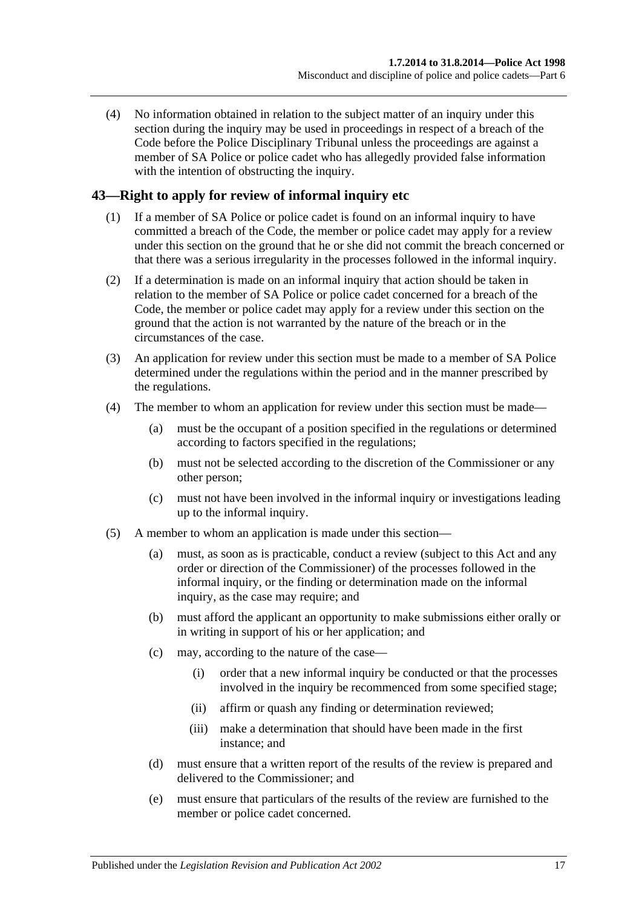(4) No information obtained in relation to the subject matter of an inquiry under this section during the inquiry may be used in proceedings in respect of a breach of the Code before the Police Disciplinary Tribunal unless the proceedings are against a member of SA Police or police cadet who has allegedly provided false information with the intention of obstructing the inquiry.

# <span id="page-16-0"></span>**43—Right to apply for review of informal inquiry etc**

- (1) If a member of SA Police or police cadet is found on an informal inquiry to have committed a breach of the Code, the member or police cadet may apply for a review under this section on the ground that he or she did not commit the breach concerned or that there was a serious irregularity in the processes followed in the informal inquiry.
- (2) If a determination is made on an informal inquiry that action should be taken in relation to the member of SA Police or police cadet concerned for a breach of the Code, the member or police cadet may apply for a review under this section on the ground that the action is not warranted by the nature of the breach or in the circumstances of the case.
- (3) An application for review under this section must be made to a member of SA Police determined under the regulations within the period and in the manner prescribed by the regulations.
- (4) The member to whom an application for review under this section must be made—
	- (a) must be the occupant of a position specified in the regulations or determined according to factors specified in the regulations;
	- (b) must not be selected according to the discretion of the Commissioner or any other person;
	- (c) must not have been involved in the informal inquiry or investigations leading up to the informal inquiry.
- (5) A member to whom an application is made under this section—
	- (a) must, as soon as is practicable, conduct a review (subject to this Act and any order or direction of the Commissioner) of the processes followed in the informal inquiry, or the finding or determination made on the informal inquiry, as the case may require; and
	- (b) must afford the applicant an opportunity to make submissions either orally or in writing in support of his or her application; and
	- (c) may, according to the nature of the case—
		- (i) order that a new informal inquiry be conducted or that the processes involved in the inquiry be recommenced from some specified stage;
		- (ii) affirm or quash any finding or determination reviewed;
		- (iii) make a determination that should have been made in the first instance; and
	- (d) must ensure that a written report of the results of the review is prepared and delivered to the Commissioner; and
	- (e) must ensure that particulars of the results of the review are furnished to the member or police cadet concerned.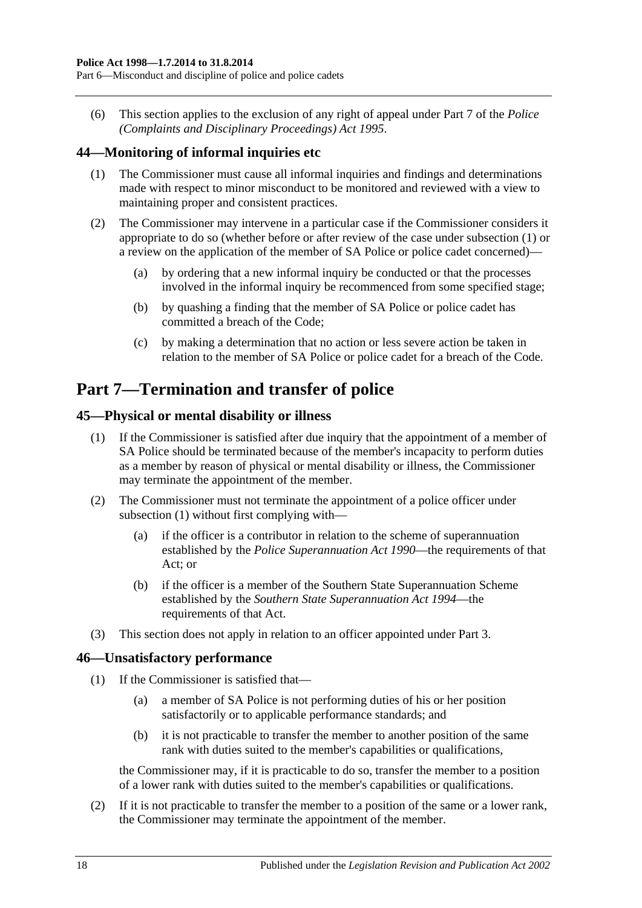(6) This section applies to the exclusion of any right of appeal under Part 7 of the *[Police](http://www.legislation.sa.gov.au/index.aspx?action=legref&type=act&legtitle=Police%20(Complaints%20and%20Disciplinary%20Proceedings)%20Act%201995)  [\(Complaints and Disciplinary Proceedings\) Act](http://www.legislation.sa.gov.au/index.aspx?action=legref&type=act&legtitle=Police%20(Complaints%20and%20Disciplinary%20Proceedings)%20Act%201995) 1995*.

# <span id="page-17-4"></span><span id="page-17-0"></span>**44—Monitoring of informal inquiries etc**

- (1) The Commissioner must cause all informal inquiries and findings and determinations made with respect to minor misconduct to be monitored and reviewed with a view to maintaining proper and consistent practices.
- (2) The Commissioner may intervene in a particular case if the Commissioner considers it appropriate to do so (whether before or after review of the case under [subsection](#page-17-4) (1) or a review on the application of the member of SA Police or police cadet concerned)—
	- (a) by ordering that a new informal inquiry be conducted or that the processes involved in the informal inquiry be recommenced from some specified stage;
	- (b) by quashing a finding that the member of SA Police or police cadet has committed a breach of the Code;
	- (c) by making a determination that no action or less severe action be taken in relation to the member of SA Police or police cadet for a breach of the Code.

# <span id="page-17-1"></span>**Part 7—Termination and transfer of police**

# <span id="page-17-5"></span><span id="page-17-2"></span>**45—Physical or mental disability or illness**

- (1) If the Commissioner is satisfied after due inquiry that the appointment of a member of SA Police should be terminated because of the member's incapacity to perform duties as a member by reason of physical or mental disability or illness, the Commissioner may terminate the appointment of the member.
- (2) The Commissioner must not terminate the appointment of a police officer under [subsection](#page-17-5) (1) without first complying with—
	- (a) if the officer is a contributor in relation to the scheme of superannuation established by the *[Police Superannuation Act](http://www.legislation.sa.gov.au/index.aspx?action=legref&type=act&legtitle=Police%20Superannuation%20Act%201990) 1990*—the requirements of that Act; or
	- (b) if the officer is a member of the Southern State Superannuation Scheme established by the *[Southern State Superannuation Act](http://www.legislation.sa.gov.au/index.aspx?action=legref&type=act&legtitle=Southern%20State%20Superannuation%20Act%201994) 1994*—the requirements of that Act.
- (3) This section does not apply in relation to an officer appointed under [Part 3.](#page-5-1)

# <span id="page-17-3"></span>**46—Unsatisfactory performance**

- (1) If the Commissioner is satisfied that—
	- (a) a member of SA Police is not performing duties of his or her position satisfactorily or to applicable performance standards; and
	- (b) it is not practicable to transfer the member to another position of the same rank with duties suited to the member's capabilities or qualifications,

the Commissioner may, if it is practicable to do so, transfer the member to a position of a lower rank with duties suited to the member's capabilities or qualifications.

(2) If it is not practicable to transfer the member to a position of the same or a lower rank, the Commissioner may terminate the appointment of the member.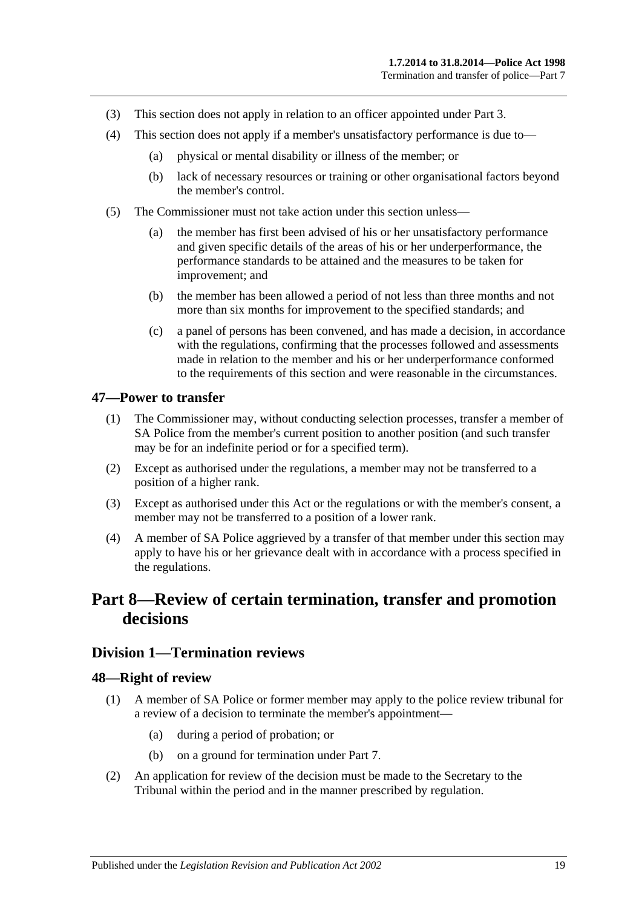- (3) This section does not apply in relation to an officer appointed under [Part 3.](#page-5-1)
- (4) This section does not apply if a member's unsatisfactory performance is due to—
	- (a) physical or mental disability or illness of the member; or
	- (b) lack of necessary resources or training or other organisational factors beyond the member's control.
- (5) The Commissioner must not take action under this section unless—
	- (a) the member has first been advised of his or her unsatisfactory performance and given specific details of the areas of his or her underperformance, the performance standards to be attained and the measures to be taken for improvement; and
	- (b) the member has been allowed a period of not less than three months and not more than six months for improvement to the specified standards; and
	- (c) a panel of persons has been convened, and has made a decision, in accordance with the regulations, confirming that the processes followed and assessments made in relation to the member and his or her underperformance conformed to the requirements of this section and were reasonable in the circumstances.

#### <span id="page-18-0"></span>**47—Power to transfer**

- (1) The Commissioner may, without conducting selection processes, transfer a member of SA Police from the member's current position to another position (and such transfer may be for an indefinite period or for a specified term).
- (2) Except as authorised under the regulations, a member may not be transferred to a position of a higher rank.
- (3) Except as authorised under this Act or the regulations or with the member's consent, a member may not be transferred to a position of a lower rank.
- (4) A member of SA Police aggrieved by a transfer of that member under this section may apply to have his or her grievance dealt with in accordance with a process specified in the regulations.

# <span id="page-18-1"></span>**Part 8—Review of certain termination, transfer and promotion decisions**

### <span id="page-18-2"></span>**Division 1—Termination reviews**

#### <span id="page-18-3"></span>**48—Right of review**

- (1) A member of SA Police or former member may apply to the police review tribunal for a review of a decision to terminate the member's appointment—
	- (a) during a period of probation; or
	- (b) on a ground for termination under [Part 7.](#page-17-1)
- (2) An application for review of the decision must be made to the Secretary to the Tribunal within the period and in the manner prescribed by regulation.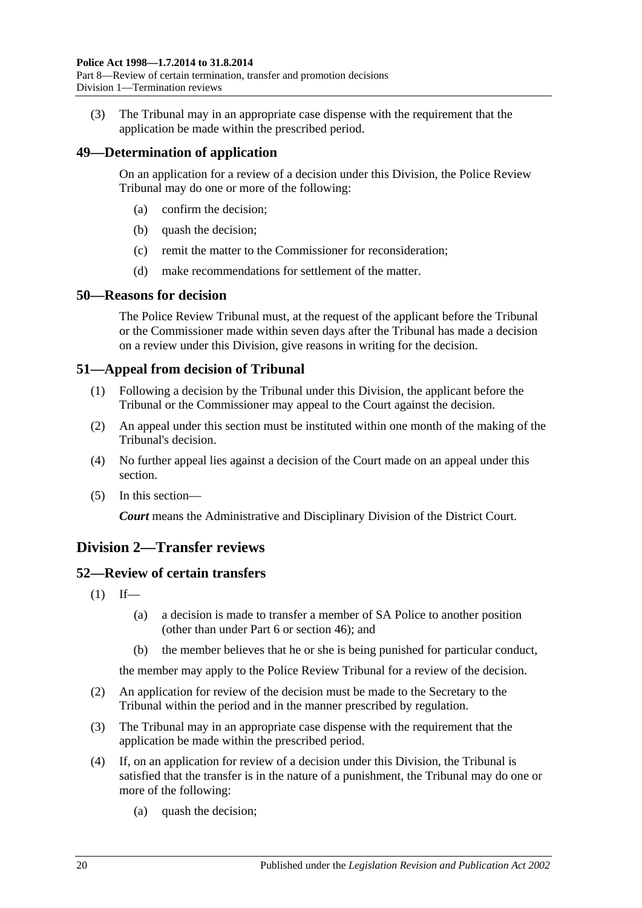(3) The Tribunal may in an appropriate case dispense with the requirement that the application be made within the prescribed period.

# <span id="page-19-0"></span>**49—Determination of application**

On an application for a review of a decision under this Division, the Police Review Tribunal may do one or more of the following:

- (a) confirm the decision;
- (b) quash the decision;
- (c) remit the matter to the Commissioner for reconsideration;
- (d) make recommendations for settlement of the matter.

### <span id="page-19-1"></span>**50—Reasons for decision**

The Police Review Tribunal must, at the request of the applicant before the Tribunal or the Commissioner made within seven days after the Tribunal has made a decision on a review under this Division, give reasons in writing for the decision.

# <span id="page-19-2"></span>**51—Appeal from decision of Tribunal**

- (1) Following a decision by the Tribunal under this Division, the applicant before the Tribunal or the Commissioner may appeal to the Court against the decision.
- (2) An appeal under this section must be instituted within one month of the making of the Tribunal's decision.
- (4) No further appeal lies against a decision of the Court made on an appeal under this section.
- (5) In this section—

*Court* means the Administrative and Disciplinary Division of the District Court.

# <span id="page-19-3"></span>**Division 2—Transfer reviews**

# <span id="page-19-4"></span>**52—Review of certain transfers**

- $(1)$  If—
	- (a) a decision is made to transfer a member of SA Police to another position (other than under [Part 6](#page-12-6) or [section](#page-17-3) 46); and
	- (b) the member believes that he or she is being punished for particular conduct,

the member may apply to the Police Review Tribunal for a review of the decision.

- (2) An application for review of the decision must be made to the Secretary to the Tribunal within the period and in the manner prescribed by regulation.
- (3) The Tribunal may in an appropriate case dispense with the requirement that the application be made within the prescribed period.
- (4) If, on an application for review of a decision under this Division, the Tribunal is satisfied that the transfer is in the nature of a punishment, the Tribunal may do one or more of the following:
	- (a) quash the decision;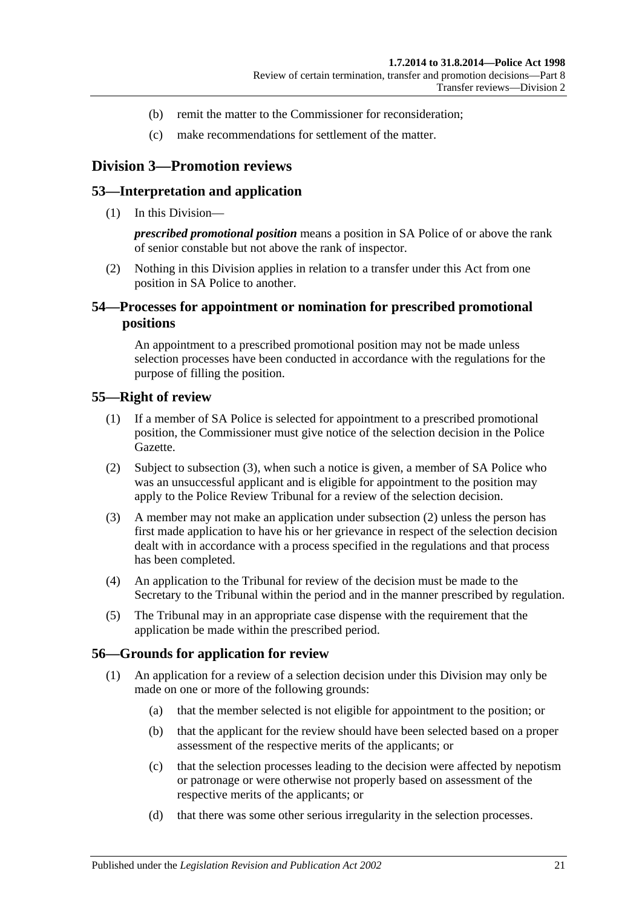- (b) remit the matter to the Commissioner for reconsideration;
- (c) make recommendations for settlement of the matter.

# <span id="page-20-0"></span>**Division 3—Promotion reviews**

#### <span id="page-20-1"></span>**53—Interpretation and application**

(1) In this Division—

*prescribed promotional position* means a position in SA Police of or above the rank of senior constable but not above the rank of inspector.

(2) Nothing in this Division applies in relation to a transfer under this Act from one position in SA Police to another.

# <span id="page-20-2"></span>**54—Processes for appointment or nomination for prescribed promotional positions**

An appointment to a prescribed promotional position may not be made unless selection processes have been conducted in accordance with the regulations for the purpose of filling the position.

#### <span id="page-20-3"></span>**55—Right of review**

- (1) If a member of SA Police is selected for appointment to a prescribed promotional position, the Commissioner must give notice of the selection decision in the Police Gazette.
- <span id="page-20-6"></span>(2) Subject to [subsection](#page-20-5) (3), when such a notice is given, a member of SA Police who was an unsuccessful applicant and is eligible for appointment to the position may apply to the Police Review Tribunal for a review of the selection decision.
- <span id="page-20-5"></span>(3) A member may not make an application under [subsection](#page-20-6) (2) unless the person has first made application to have his or her grievance in respect of the selection decision dealt with in accordance with a process specified in the regulations and that process has been completed.
- (4) An application to the Tribunal for review of the decision must be made to the Secretary to the Tribunal within the period and in the manner prescribed by regulation.
- (5) The Tribunal may in an appropriate case dispense with the requirement that the application be made within the prescribed period.

#### <span id="page-20-4"></span>**56—Grounds for application for review**

- (1) An application for a review of a selection decision under this Division may only be made on one or more of the following grounds:
	- (a) that the member selected is not eligible for appointment to the position; or
	- (b) that the applicant for the review should have been selected based on a proper assessment of the respective merits of the applicants; or
	- (c) that the selection processes leading to the decision were affected by nepotism or patronage or were otherwise not properly based on assessment of the respective merits of the applicants; or
	- (d) that there was some other serious irregularity in the selection processes.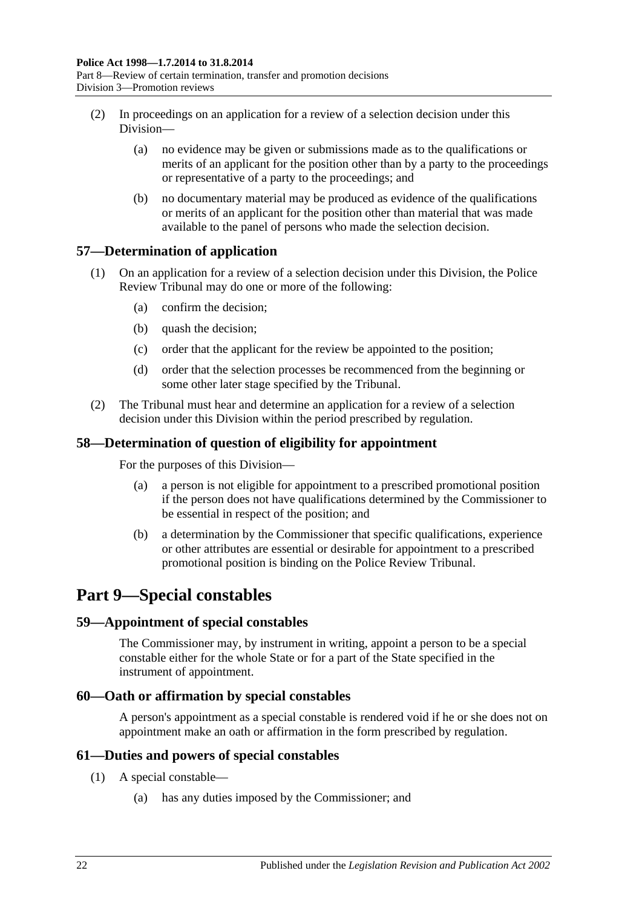- (2) In proceedings on an application for a review of a selection decision under this Division—
	- (a) no evidence may be given or submissions made as to the qualifications or merits of an applicant for the position other than by a party to the proceedings or representative of a party to the proceedings; and
	- (b) no documentary material may be produced as evidence of the qualifications or merits of an applicant for the position other than material that was made available to the panel of persons who made the selection decision.

# <span id="page-21-0"></span>**57—Determination of application**

- (1) On an application for a review of a selection decision under this Division, the Police Review Tribunal may do one or more of the following:
	- (a) confirm the decision;
	- (b) quash the decision;
	- (c) order that the applicant for the review be appointed to the position;
	- (d) order that the selection processes be recommenced from the beginning or some other later stage specified by the Tribunal.
- (2) The Tribunal must hear and determine an application for a review of a selection decision under this Division within the period prescribed by regulation.

# <span id="page-21-1"></span>**58—Determination of question of eligibility for appointment**

For the purposes of this Division—

- (a) a person is not eligible for appointment to a prescribed promotional position if the person does not have qualifications determined by the Commissioner to be essential in respect of the position; and
- (b) a determination by the Commissioner that specific qualifications, experience or other attributes are essential or desirable for appointment to a prescribed promotional position is binding on the Police Review Tribunal.

# <span id="page-21-2"></span>**Part 9—Special constables**

# <span id="page-21-3"></span>**59—Appointment of special constables**

The Commissioner may, by instrument in writing, appoint a person to be a special constable either for the whole State or for a part of the State specified in the instrument of appointment.

# <span id="page-21-4"></span>**60—Oath or affirmation by special constables**

A person's appointment as a special constable is rendered void if he or she does not on appointment make an oath or affirmation in the form prescribed by regulation.

# <span id="page-21-5"></span>**61—Duties and powers of special constables**

- (1) A special constable—
	- (a) has any duties imposed by the Commissioner; and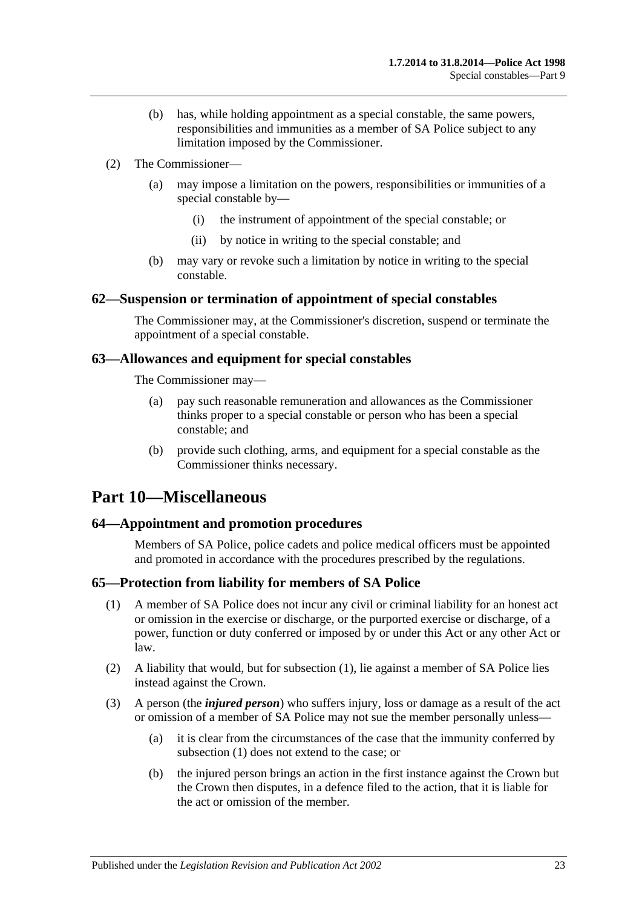- (b) has, while holding appointment as a special constable, the same powers, responsibilities and immunities as a member of SA Police subject to any limitation imposed by the Commissioner.
- (2) The Commissioner—
	- (a) may impose a limitation on the powers, responsibilities or immunities of a special constable by—
		- (i) the instrument of appointment of the special constable; or
		- (ii) by notice in writing to the special constable; and
	- (b) may vary or revoke such a limitation by notice in writing to the special constable.

#### <span id="page-22-0"></span>**62—Suspension or termination of appointment of special constables**

The Commissioner may, at the Commissioner's discretion, suspend or terminate the appointment of a special constable.

#### <span id="page-22-1"></span>**63—Allowances and equipment for special constables**

The Commissioner may—

- (a) pay such reasonable remuneration and allowances as the Commissioner thinks proper to a special constable or person who has been a special constable; and
- (b) provide such clothing, arms, and equipment for a special constable as the Commissioner thinks necessary.

# <span id="page-22-2"></span>**Part 10—Miscellaneous**

#### <span id="page-22-3"></span>**64—Appointment and promotion procedures**

Members of SA Police, police cadets and police medical officers must be appointed and promoted in accordance with the procedures prescribed by the regulations.

#### <span id="page-22-5"></span><span id="page-22-4"></span>**65—Protection from liability for members of SA Police**

- (1) A member of SA Police does not incur any civil or criminal liability for an honest act or omission in the exercise or discharge, or the purported exercise or discharge, of a power, function or duty conferred or imposed by or under this Act or any other Act or law.
- (2) A liability that would, but for [subsection](#page-22-5) (1), lie against a member of SA Police lies instead against the Crown.
- (3) A person (the *injured person*) who suffers injury, loss or damage as a result of the act or omission of a member of SA Police may not sue the member personally unless—
	- (a) it is clear from the circumstances of the case that the immunity conferred by [subsection](#page-22-5) (1) does not extend to the case; or
	- (b) the injured person brings an action in the first instance against the Crown but the Crown then disputes, in a defence filed to the action, that it is liable for the act or omission of the member.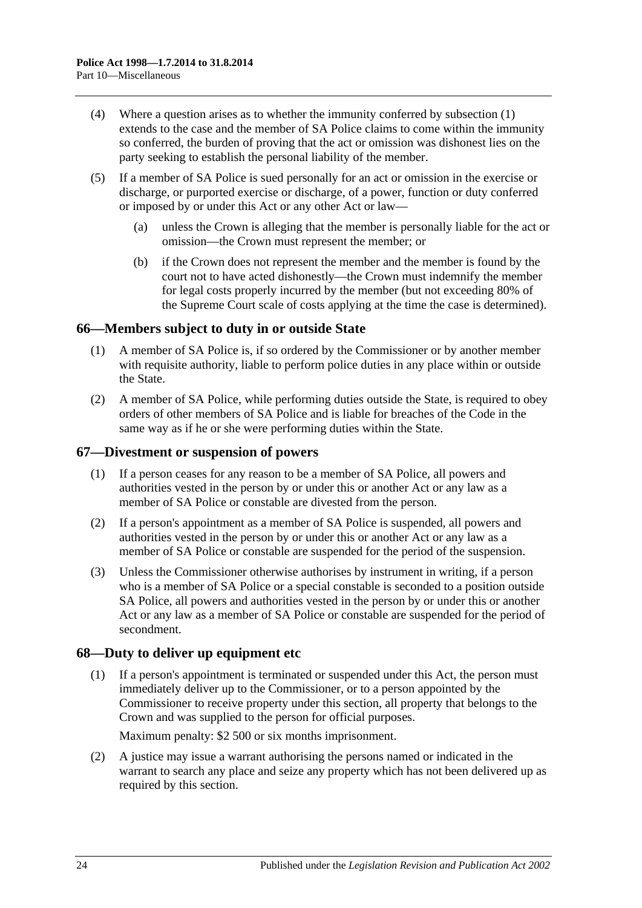- (4) Where a question arises as to whether the immunity conferred by [subsection](#page-22-5) (1) extends to the case and the member of SA Police claims to come within the immunity so conferred, the burden of proving that the act or omission was dishonest lies on the party seeking to establish the personal liability of the member.
- (5) If a member of SA Police is sued personally for an act or omission in the exercise or discharge, or purported exercise or discharge, of a power, function or duty conferred or imposed by or under this Act or any other Act or law—
	- (a) unless the Crown is alleging that the member is personally liable for the act or omission—the Crown must represent the member; or
	- (b) if the Crown does not represent the member and the member is found by the court not to have acted dishonestly—the Crown must indemnify the member for legal costs properly incurred by the member (but not exceeding 80% of the Supreme Court scale of costs applying at the time the case is determined).

# <span id="page-23-0"></span>**66—Members subject to duty in or outside State**

- (1) A member of SA Police is, if so ordered by the Commissioner or by another member with requisite authority, liable to perform police duties in any place within or outside the State.
- (2) A member of SA Police, while performing duties outside the State, is required to obey orders of other members of SA Police and is liable for breaches of the Code in the same way as if he or she were performing duties within the State.

#### <span id="page-23-1"></span>**67—Divestment or suspension of powers**

- (1) If a person ceases for any reason to be a member of SA Police, all powers and authorities vested in the person by or under this or another Act or any law as a member of SA Police or constable are divested from the person.
- (2) If a person's appointment as a member of SA Police is suspended, all powers and authorities vested in the person by or under this or another Act or any law as a member of SA Police or constable are suspended for the period of the suspension.
- (3) Unless the Commissioner otherwise authorises by instrument in writing, if a person who is a member of SA Police or a special constable is seconded to a position outside SA Police, all powers and authorities vested in the person by or under this or another Act or any law as a member of SA Police or constable are suspended for the period of secondment.

#### <span id="page-23-2"></span>**68—Duty to deliver up equipment etc**

(1) If a person's appointment is terminated or suspended under this Act, the person must immediately deliver up to the Commissioner, or to a person appointed by the Commissioner to receive property under this section, all property that belongs to the Crown and was supplied to the person for official purposes.

Maximum penalty: \$2 500 or six months imprisonment.

(2) A justice may issue a warrant authorising the persons named or indicated in the warrant to search any place and seize any property which has not been delivered up as required by this section.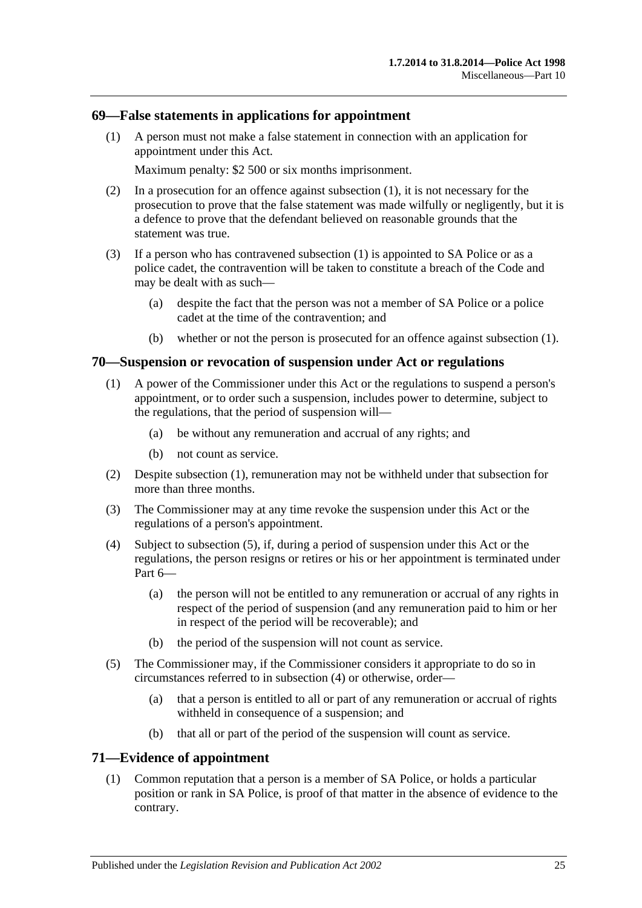### <span id="page-24-3"></span><span id="page-24-0"></span>**69—False statements in applications for appointment**

(1) A person must not make a false statement in connection with an application for appointment under this Act.

Maximum penalty: \$2 500 or six months imprisonment.

- (2) In a prosecution for an offence against [subsection](#page-24-3) (1), it is not necessary for the prosecution to prove that the false statement was made wilfully or negligently, but it is a defence to prove that the defendant believed on reasonable grounds that the statement was true.
- (3) If a person who has contravened [subsection](#page-24-3) (1) is appointed to SA Police or as a police cadet, the contravention will be taken to constitute a breach of the Code and may be dealt with as such—
	- (a) despite the fact that the person was not a member of SA Police or a police cadet at the time of the contravention; and
	- (b) whether or not the person is prosecuted for an offence against [subsection](#page-24-3) (1).

#### <span id="page-24-4"></span><span id="page-24-1"></span>**70—Suspension or revocation of suspension under Act or regulations**

- (1) A power of the Commissioner under this Act or the regulations to suspend a person's appointment, or to order such a suspension, includes power to determine, subject to the regulations, that the period of suspension will—
	- (a) be without any remuneration and accrual of any rights; and
	- (b) not count as service.
- (2) Despite [subsection](#page-24-4) (1), remuneration may not be withheld under that subsection for more than three months.
- (3) The Commissioner may at any time revoke the suspension under this Act or the regulations of a person's appointment.
- <span id="page-24-6"></span>(4) Subject to [subsection](#page-24-5) (5), if, during a period of suspension under this Act or the regulations, the person resigns or retires or his or her appointment is terminated under [Part](#page-12-6) 6—
	- (a) the person will not be entitled to any remuneration or accrual of any rights in respect of the period of suspension (and any remuneration paid to him or her in respect of the period will be recoverable); and
	- (b) the period of the suspension will not count as service.
- <span id="page-24-5"></span>(5) The Commissioner may, if the Commissioner considers it appropriate to do so in circumstances referred to in [subsection](#page-24-6) (4) or otherwise, order—
	- (a) that a person is entitled to all or part of any remuneration or accrual of rights withheld in consequence of a suspension; and
	- (b) that all or part of the period of the suspension will count as service.

### <span id="page-24-2"></span>**71—Evidence of appointment**

(1) Common reputation that a person is a member of SA Police, or holds a particular position or rank in SA Police, is proof of that matter in the absence of evidence to the contrary.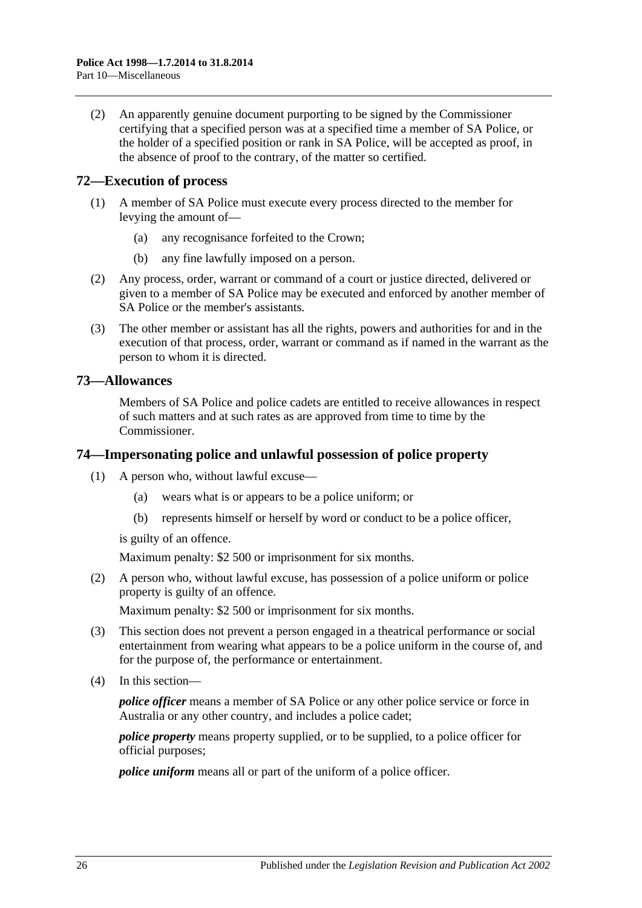(2) An apparently genuine document purporting to be signed by the Commissioner certifying that a specified person was at a specified time a member of SA Police, or the holder of a specified position or rank in SA Police, will be accepted as proof, in the absence of proof to the contrary, of the matter so certified.

### <span id="page-25-0"></span>**72—Execution of process**

- (1) A member of SA Police must execute every process directed to the member for levying the amount of—
	- (a) any recognisance forfeited to the Crown;
	- (b) any fine lawfully imposed on a person.
- (2) Any process, order, warrant or command of a court or justice directed, delivered or given to a member of SA Police may be executed and enforced by another member of SA Police or the member's assistants.
- (3) The other member or assistant has all the rights, powers and authorities for and in the execution of that process, order, warrant or command as if named in the warrant as the person to whom it is directed.

#### <span id="page-25-1"></span>**73—Allowances**

Members of SA Police and police cadets are entitled to receive allowances in respect of such matters and at such rates as are approved from time to time by the Commissioner.

#### <span id="page-25-2"></span>**74—Impersonating police and unlawful possession of police property**

- (1) A person who, without lawful excuse—
	- (a) wears what is or appears to be a police uniform; or
	- (b) represents himself or herself by word or conduct to be a police officer,

is guilty of an offence.

Maximum penalty: \$2 500 or imprisonment for six months.

(2) A person who, without lawful excuse, has possession of a police uniform or police property is guilty of an offence.

Maximum penalty: \$2 500 or imprisonment for six months.

- (3) This section does not prevent a person engaged in a theatrical performance or social entertainment from wearing what appears to be a police uniform in the course of, and for the purpose of, the performance or entertainment.
- (4) In this section—

*police officer* means a member of SA Police or any other police service or force in Australia or any other country, and includes a police cadet;

*police property* means property supplied, or to be supplied, to a police officer for official purposes;

*police uniform* means all or part of the uniform of a police officer.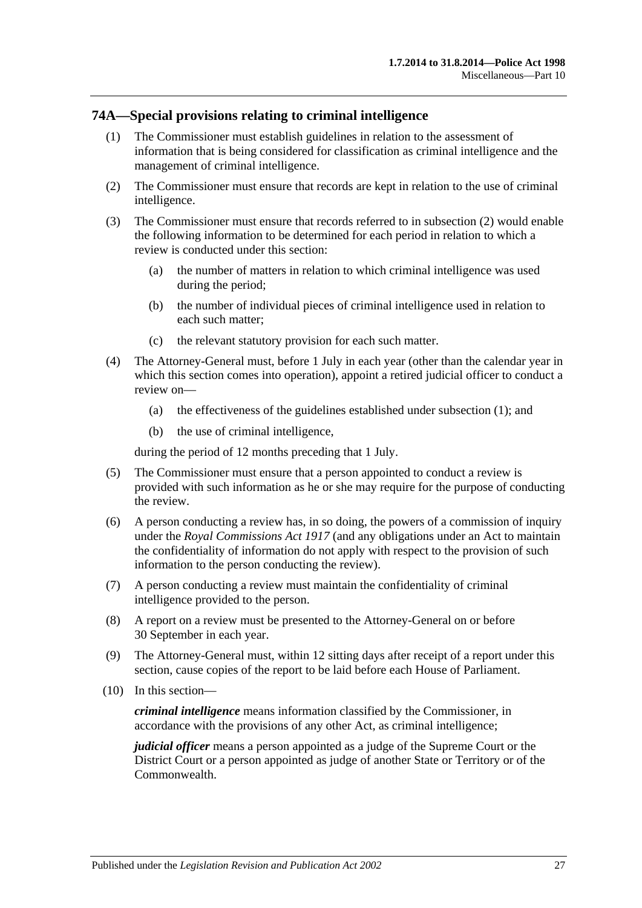### <span id="page-26-2"></span><span id="page-26-0"></span>**74A—Special provisions relating to criminal intelligence**

- (1) The Commissioner must establish guidelines in relation to the assessment of information that is being considered for classification as criminal intelligence and the management of criminal intelligence.
- <span id="page-26-1"></span>(2) The Commissioner must ensure that records are kept in relation to the use of criminal intelligence.
- (3) The Commissioner must ensure that records referred to in [subsection](#page-26-1) (2) would enable the following information to be determined for each period in relation to which a review is conducted under this section:
	- (a) the number of matters in relation to which criminal intelligence was used during the period;
	- (b) the number of individual pieces of criminal intelligence used in relation to each such matter;
	- (c) the relevant statutory provision for each such matter.
- (4) The Attorney-General must, before 1 July in each year (other than the calendar year in which this section comes into operation), appoint a retired judicial officer to conduct a review on—
	- (a) the effectiveness of the guidelines established under [subsection](#page-26-2) (1); and
	- (b) the use of criminal intelligence,

during the period of 12 months preceding that 1 July.

- (5) The Commissioner must ensure that a person appointed to conduct a review is provided with such information as he or she may require for the purpose of conducting the review.
- (6) A person conducting a review has, in so doing, the powers of a commission of inquiry under the *[Royal Commissions Act](http://www.legislation.sa.gov.au/index.aspx?action=legref&type=act&legtitle=Royal%20Commissions%20Act%201917) 1917* (and any obligations under an Act to maintain the confidentiality of information do not apply with respect to the provision of such information to the person conducting the review).
- (7) A person conducting a review must maintain the confidentiality of criminal intelligence provided to the person.
- (8) A report on a review must be presented to the Attorney-General on or before 30 September in each year.
- (9) The Attorney-General must, within 12 sitting days after receipt of a report under this section, cause copies of the report to be laid before each House of Parliament.
- (10) In this section—

*criminal intelligence* means information classified by the Commissioner, in accordance with the provisions of any other Act, as criminal intelligence;

*judicial officer* means a person appointed as a judge of the Supreme Court or the District Court or a person appointed as judge of another State or Territory or of the Commonwealth.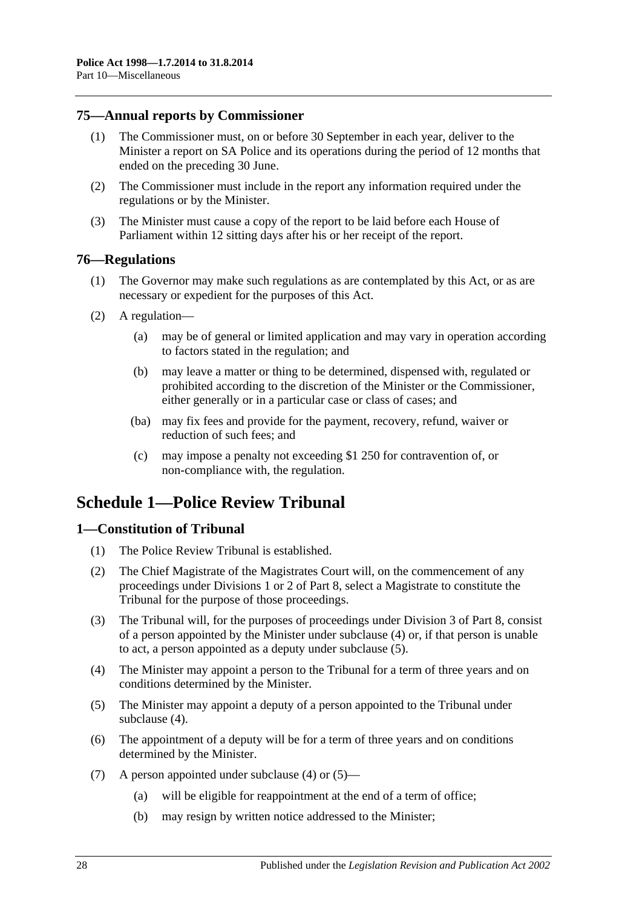# <span id="page-27-0"></span>**75—Annual reports by Commissioner**

- (1) The Commissioner must, on or before 30 September in each year, deliver to the Minister a report on SA Police and its operations during the period of 12 months that ended on the preceding 30 June.
- (2) The Commissioner must include in the report any information required under the regulations or by the Minister.
- (3) The Minister must cause a copy of the report to be laid before each House of Parliament within 12 sitting days after his or her receipt of the report.

### <span id="page-27-1"></span>**76—Regulations**

- (1) The Governor may make such regulations as are contemplated by this Act, or as are necessary or expedient for the purposes of this Act.
- (2) A regulation—
	- (a) may be of general or limited application and may vary in operation according to factors stated in the regulation; and
	- (b) may leave a matter or thing to be determined, dispensed with, regulated or prohibited according to the discretion of the Minister or the Commissioner, either generally or in a particular case or class of cases; and
	- (ba) may fix fees and provide for the payment, recovery, refund, waiver or reduction of such fees; and
	- (c) may impose a penalty not exceeding \$1 250 for contravention of, or non-compliance with, the regulation.

# <span id="page-27-2"></span>**Schedule 1—Police Review Tribunal**

# <span id="page-27-3"></span>**1—Constitution of Tribunal**

- (1) The Police Review Tribunal is established.
- (2) The Chief Magistrate of the Magistrates Court will, on the commencement of any proceedings under [Divisions 1](#page-18-2) or [2](#page-19-3) of [Part 8,](#page-18-1) select a Magistrate to constitute the Tribunal for the purpose of those proceedings.
- (3) The Tribunal will, for the purposes of proceedings under [Division 3](#page-20-0) of [Part 8,](#page-18-1) consist of a person appointed by the Minister under [subclause](#page-27-4) (4) or, if that person is unable to act, a person appointed as a deputy under [subclause](#page-27-5) (5).
- <span id="page-27-4"></span>(4) The Minister may appoint a person to the Tribunal for a term of three years and on conditions determined by the Minister.
- <span id="page-27-5"></span>(5) The Minister may appoint a deputy of a person appointed to the Tribunal under [subclause](#page-27-4) (4).
- (6) The appointment of a deputy will be for a term of three years and on conditions determined by the Minister.
- (7) A person appointed under [subclause](#page-27-4) (4) or [\(5\)—](#page-27-5)
	- (a) will be eligible for reappointment at the end of a term of office;
	- (b) may resign by written notice addressed to the Minister;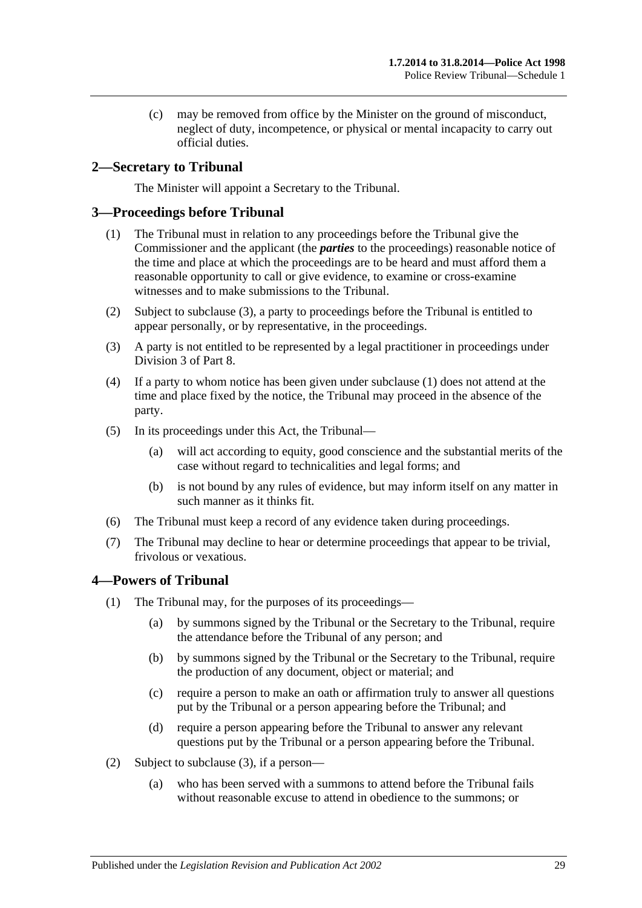(c) may be removed from office by the Minister on the ground of misconduct, neglect of duty, incompetence, or physical or mental incapacity to carry out official duties.

# <span id="page-28-0"></span>**2—Secretary to Tribunal**

The Minister will appoint a Secretary to the Tribunal.

# <span id="page-28-4"></span><span id="page-28-1"></span>**3—Proceedings before Tribunal**

- (1) The Tribunal must in relation to any proceedings before the Tribunal give the Commissioner and the applicant (the *parties* to the proceedings) reasonable notice of the time and place at which the proceedings are to be heard and must afford them a reasonable opportunity to call or give evidence, to examine or cross-examine witnesses and to make submissions to the Tribunal.
- (2) Subject to [subclause](#page-28-3) (3), a party to proceedings before the Tribunal is entitled to appear personally, or by representative, in the proceedings.
- <span id="page-28-3"></span>(3) A party is not entitled to be represented by a legal practitioner in proceedings under [Division 3](#page-20-0) of [Part 8.](#page-18-1)
- (4) If a party to whom notice has been given under [subclause](#page-28-4) (1) does not attend at the time and place fixed by the notice, the Tribunal may proceed in the absence of the party.
- (5) In its proceedings under this Act, the Tribunal—
	- (a) will act according to equity, good conscience and the substantial merits of the case without regard to technicalities and legal forms; and
	- (b) is not bound by any rules of evidence, but may inform itself on any matter in such manner as it thinks fit.
- (6) The Tribunal must keep a record of any evidence taken during proceedings.
- (7) The Tribunal may decline to hear or determine proceedings that appear to be trivial, frivolous or vexatious.

# <span id="page-28-2"></span>**4—Powers of Tribunal**

- (1) The Tribunal may, for the purposes of its proceedings—
	- (a) by summons signed by the Tribunal or the Secretary to the Tribunal, require the attendance before the Tribunal of any person; and
	- (b) by summons signed by the Tribunal or the Secretary to the Tribunal, require the production of any document, object or material; and
	- (c) require a person to make an oath or affirmation truly to answer all questions put by the Tribunal or a person appearing before the Tribunal; and
	- (d) require a person appearing before the Tribunal to answer any relevant questions put by the Tribunal or a person appearing before the Tribunal.
- (2) Subject to [subclause](#page-29-3) (3), if a person—
	- (a) who has been served with a summons to attend before the Tribunal fails without reasonable excuse to attend in obedience to the summons; or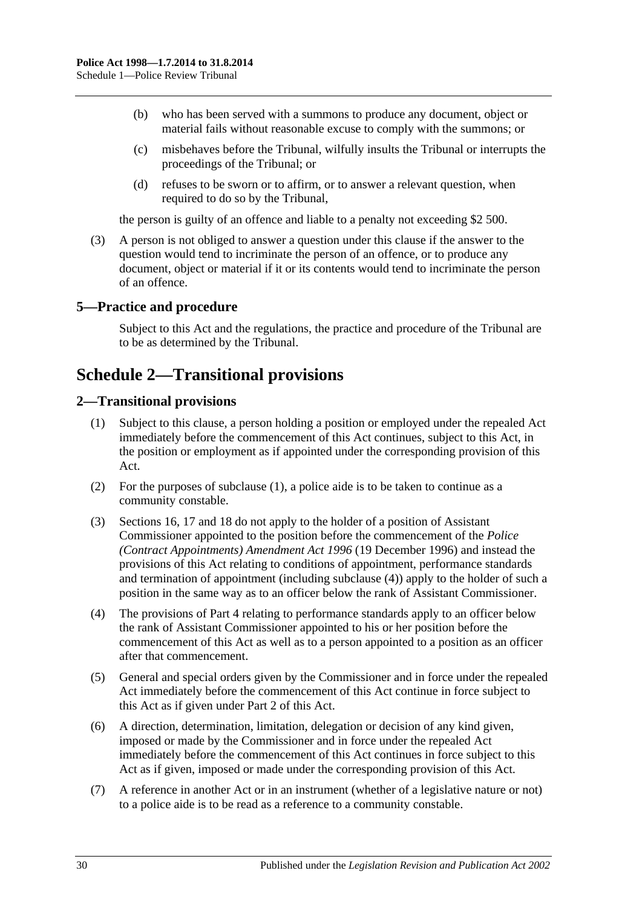- (b) who has been served with a summons to produce any document, object or material fails without reasonable excuse to comply with the summons; or
- (c) misbehaves before the Tribunal, wilfully insults the Tribunal or interrupts the proceedings of the Tribunal; or
- (d) refuses to be sworn or to affirm, or to answer a relevant question, when required to do so by the Tribunal,

the person is guilty of an offence and liable to a penalty not exceeding \$2 500.

<span id="page-29-3"></span>(3) A person is not obliged to answer a question under this clause if the answer to the question would tend to incriminate the person of an offence, or to produce any document, object or material if it or its contents would tend to incriminate the person of an offence.

# <span id="page-29-0"></span>**5—Practice and procedure**

Subject to this Act and the regulations, the practice and procedure of the Tribunal are to be as determined by the Tribunal.

# <span id="page-29-1"></span>**Schedule 2—Transitional provisions**

# <span id="page-29-4"></span><span id="page-29-2"></span>**2—Transitional provisions**

- (1) Subject to this clause, a person holding a position or employed under the repealed Act immediately before the commencement of this Act continues, subject to this Act, in the position or employment as if appointed under the corresponding provision of this Act.
- (2) For the purposes of [subclause](#page-29-4) (1), a police aide is to be taken to continue as a community constable.
- (3) [Sections](#page-7-0) 16, [17](#page-7-1) and [18](#page-8-0) do not apply to the holder of a position of Assistant Commissioner appointed to the position before the commencement of the *[Police](http://www.legislation.sa.gov.au/index.aspx?action=legref&type=act&legtitle=Police%20(Contract%20Appointments)%20Amendment%20Act%201996)  [\(Contract Appointments\) Amendment Act](http://www.legislation.sa.gov.au/index.aspx?action=legref&type=act&legtitle=Police%20(Contract%20Appointments)%20Amendment%20Act%201996) 1996* (19 December 1996) and instead the provisions of this Act relating to conditions of appointment, performance standards and termination of appointment (including [subclause](#page-29-5) (4)) apply to the holder of such a position in the same way as to an officer below the rank of Assistant Commissioner.
- <span id="page-29-5"></span>(4) The provisions of [Part 4](#page-9-0) relating to performance standards apply to an officer below the rank of Assistant Commissioner appointed to his or her position before the commencement of this Act as well as to a person appointed to a position as an officer after that commencement.
- (5) General and special orders given by the Commissioner and in force under the repealed Act immediately before the commencement of this Act continue in force subject to this Act as if given under [Part 2](#page-3-0) of this Act.
- (6) A direction, determination, limitation, delegation or decision of any kind given, imposed or made by the Commissioner and in force under the repealed Act immediately before the commencement of this Act continues in force subject to this Act as if given, imposed or made under the corresponding provision of this Act.
- (7) A reference in another Act or in an instrument (whether of a legislative nature or not) to a police aide is to be read as a reference to a community constable.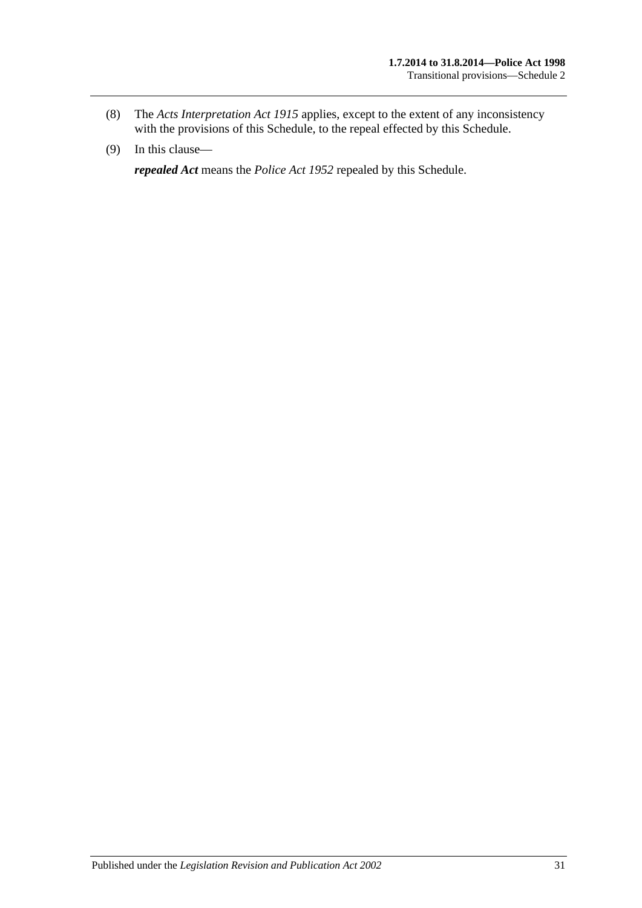- (8) The *[Acts Interpretation Act](http://www.legislation.sa.gov.au/index.aspx?action=legref&type=act&legtitle=Acts%20Interpretation%20Act%201915) 1915* applies, except to the extent of any inconsistency with the provisions of this Schedule, to the repeal effected by this Schedule.
- (9) In this clause—

*repealed Act* means the *[Police Act](http://www.legislation.sa.gov.au/index.aspx?action=legref&type=act&legtitle=Police%20Act%201952) 1952* repealed by this Schedule.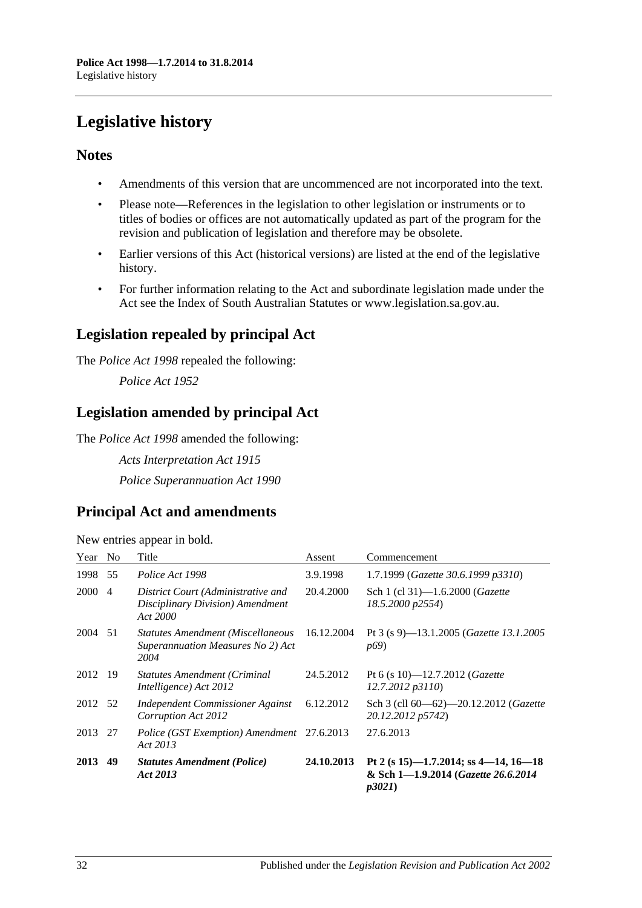# <span id="page-31-0"></span>**Legislative history**

# **Notes**

- Amendments of this version that are uncommenced are not incorporated into the text.
- Please note—References in the legislation to other legislation or instruments or to titles of bodies or offices are not automatically updated as part of the program for the revision and publication of legislation and therefore may be obsolete.
- Earlier versions of this Act (historical versions) are listed at the end of the legislative history.
- For further information relating to the Act and subordinate legislation made under the Act see the Index of South Australian Statutes or www.legislation.sa.gov.au.

# **Legislation repealed by principal Act**

The *Police Act 1998* repealed the following:

*Police Act 1952*

# **Legislation amended by principal Act**

The *Police Act 1998* amended the following:

*Acts Interpretation Act 1915 Police Superannuation Act 1990*

# **Principal Act and amendments**

| New entries appear in bold. |  |  |
|-----------------------------|--|--|
|                             |  |  |

| Year No |                | Title                                                                                 | Assent     | Commencement                                                                         |
|---------|----------------|---------------------------------------------------------------------------------------|------------|--------------------------------------------------------------------------------------|
| 1998 55 |                | Police Act 1998                                                                       | 3.9.1998   | 1.7.1999 (Gazette 30.6.1999 p3310)                                                   |
| 2000    | $\overline{4}$ | District Court (Administrative and<br>Disciplinary Division) Amendment<br>Act 2000    | 20.4.2000  | Sch 1 (cl 31)-1.6.2000 (Gazette<br>18.5.2000 p2554)                                  |
| 2004 51 |                | <b>Statutes Amendment (Miscellaneous</b><br>Superannuation Measures No 2) Act<br>2004 | 16.12.2004 | Pt 3 (s 9)-13.1.2005 (Gazette 13.1.2005<br><i>p</i> <sup>69</sup> )                  |
| 2012 19 |                | <b>Statutes Amendment (Criminal</b><br>Intelligence) Act 2012                         | 24.5.2012  | Pt 6 (s 10)-12.7.2012 (Gazette<br>12.7.2012 p3110)                                   |
| 2012 52 |                | Independent Commissioner Against<br>Corruption Act 2012                               | 6.12.2012  | Sch 3 (cll 60—62)—20.12.2012 (Gazette<br>20.12.2012 p5742)                           |
| 2013    | -27            | Police (GST Exemption) Amendment 27.6.2013<br>Act 2013                                |            | 27.6.2013                                                                            |
| 2013    | 49             | <b>Statutes Amendment (Police)</b><br>Act 2013                                        | 24.10.2013 | Pt 2 (s 15)-1.7.2014; ss 4-14, 16-18<br>& Sch 1-1.9.2014 (Gazette 26.6.2014<br>p3021 |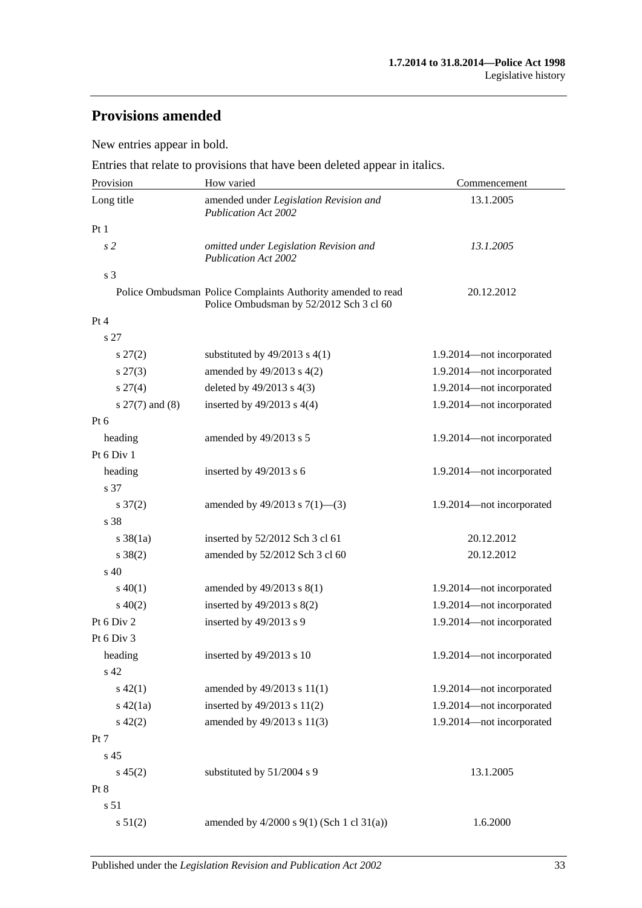# **Provisions amended**

New entries appear in bold.

Entries that relate to provisions that have been deleted appear in italics.

| Provision           | How varied                                                                                              | Commencement              |
|---------------------|---------------------------------------------------------------------------------------------------------|---------------------------|
| Long title          | amended under Legislation Revision and<br><b>Publication Act 2002</b>                                   | 13.1.2005                 |
| Pt1                 |                                                                                                         |                           |
| s2                  | omitted under Legislation Revision and<br><b>Publication Act 2002</b>                                   | 13.1.2005                 |
| s <sub>3</sub>      |                                                                                                         |                           |
|                     | Police Ombudsman Police Complaints Authority amended to read<br>Police Ombudsman by 52/2012 Sch 3 cl 60 | 20.12.2012                |
| Pt 4                |                                                                                                         |                           |
| s 27                |                                                                                                         |                           |
| $s\,27(2)$          | substituted by $49/2013$ s $4(1)$                                                                       | 1.9.2014—not incorporated |
| $s\,27(3)$          | amended by $49/2013$ s $4(2)$                                                                           | 1.9.2014-not incorporated |
| s 27(4)             | deleted by 49/2013 s 4(3)                                                                               | 1.9.2014-not incorporated |
| $s$ 27(7) and (8)   | inserted by $49/2013$ s $4(4)$                                                                          | 1.9.2014-not incorporated |
| Pt 6                |                                                                                                         |                           |
| heading             | amended by 49/2013 s 5                                                                                  | 1.9.2014-not incorporated |
| Pt 6 Div 1          |                                                                                                         |                           |
| heading             | inserted by 49/2013 s 6                                                                                 | 1.9.2014-not incorporated |
| s 37                |                                                                                                         |                           |
| $s \frac{37(2)}{2}$ | amended by 49/2013 s $7(1)$ —(3)                                                                        | 1.9.2014-not incorporated |
| s 38                |                                                                                                         |                           |
| $s \, 38(1a)$       | inserted by 52/2012 Sch 3 cl 61                                                                         | 20.12.2012                |
| $s \ 38(2)$         | amended by 52/2012 Sch 3 cl 60                                                                          | 20.12.2012                |
| $\mathrm{s}$ 40     |                                                                                                         |                           |
| $s\ 40(1)$          | amended by 49/2013 s 8(1)                                                                               | 1.9.2014-not incorporated |
| $s\ 40(2)$          | inserted by $49/2013$ s $8(2)$                                                                          | 1.9.2014-not incorporated |
| Pt 6 Div 2          | inserted by 49/2013 s 9                                                                                 | 1.9.2014-not incorporated |
| Pt 6 Div 3          |                                                                                                         |                           |
| heading             | inserted by $49/2013$ s 10                                                                              | 1.9.2014-not incorporated |
| s 42                |                                                                                                         |                           |
| $s\ 42(1)$          | amended by 49/2013 s 11(1)                                                                              | 1.9.2014-not incorporated |
| $s\ 42(1a)$         | inserted by 49/2013 s 11(2)                                                                             | 1.9.2014-not incorporated |
| $s\ 42(2)$          | amended by 49/2013 s 11(3)                                                                              | 1.9.2014-not incorporated |
| Pt 7                |                                                                                                         |                           |
| s 45                |                                                                                                         |                           |
| $s\,45(2)$          | substituted by 51/2004 s 9                                                                              | 13.1.2005                 |
| Pt 8                |                                                                                                         |                           |
| s 51                |                                                                                                         |                           |
| s 51(2)             | amended by $4/2000$ s $9(1)$ (Sch 1 cl 31(a))                                                           | 1.6.2000                  |